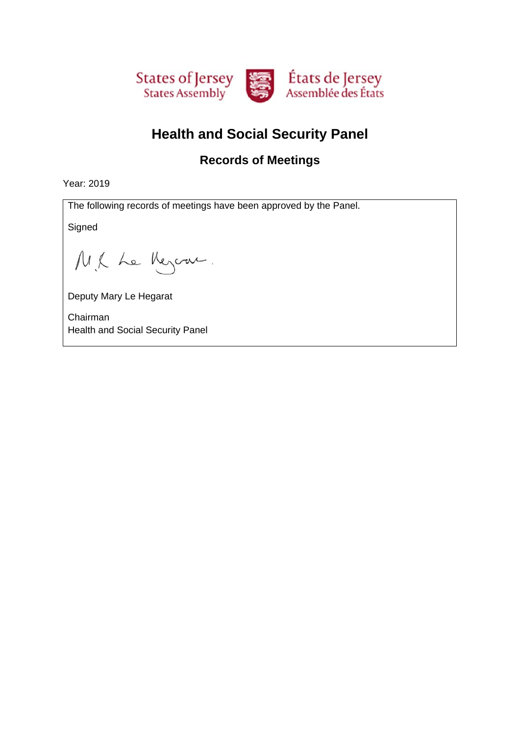

# **Health and Social Security Panel**

#### **Records of Meetings**

Year: 2019

The following records of meetings have been approved by the Panel.

**Signed** 

M.K Le Meyern.

Deputy Mary Le Hegarat

Chairman Health and Social Security Panel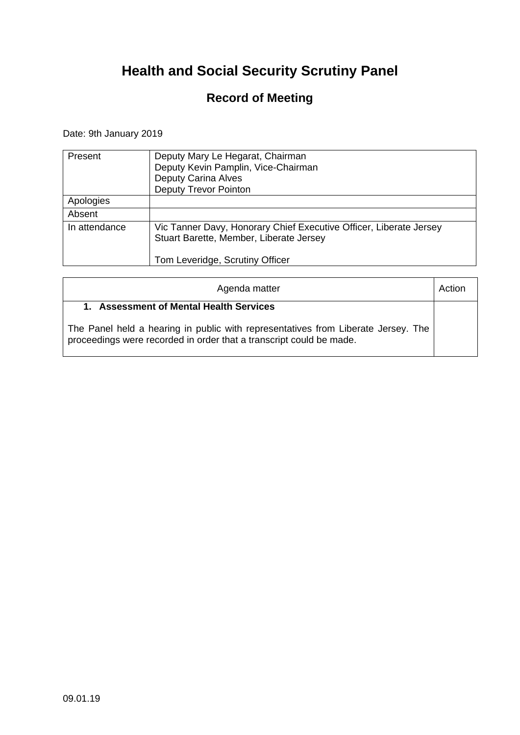### **Record of Meeting**

Date: 9th January 2019

| Present       | Deputy Mary Le Hegarat, Chairman<br>Deputy Kevin Pamplin, Vice-Chairman<br><b>Deputy Carina Alves</b><br><b>Deputy Trevor Pointon</b>            |
|---------------|--------------------------------------------------------------------------------------------------------------------------------------------------|
| Apologies     |                                                                                                                                                  |
| Absent        |                                                                                                                                                  |
| In attendance | Vic Tanner Davy, Honorary Chief Executive Officer, Liberate Jersey<br>Stuart Barette, Member, Liberate Jersey<br>Tom Leveridge, Scrutiny Officer |

| Agenda matter                                                                                                                                                                                       | Action |
|-----------------------------------------------------------------------------------------------------------------------------------------------------------------------------------------------------|--------|
| 1. Assessment of Mental Health Services<br>The Panel held a hearing in public with representatives from Liberate Jersey. The<br>proceedings were recorded in order that a transcript could be made. |        |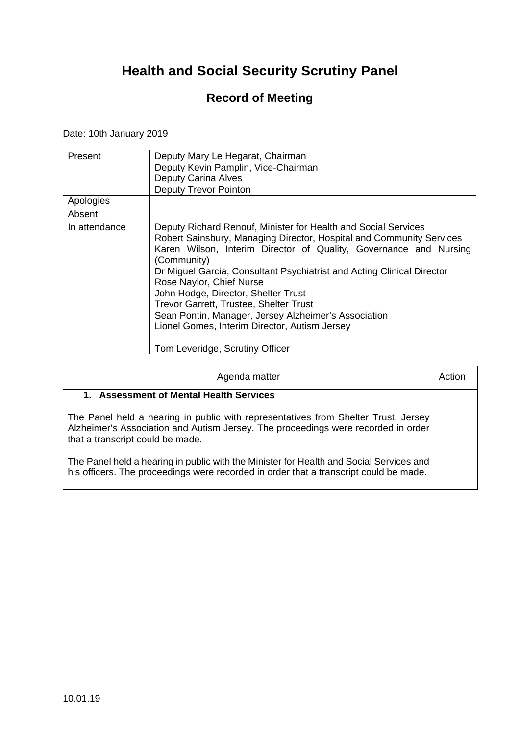### **Record of Meeting**

Date: 10th January 2019

| Present       | Deputy Mary Le Hegarat, Chairman                                       |
|---------------|------------------------------------------------------------------------|
|               | Deputy Kevin Pamplin, Vice-Chairman                                    |
|               | <b>Deputy Carina Alves</b>                                             |
|               | Deputy Trevor Pointon                                                  |
| Apologies     |                                                                        |
| Absent        |                                                                        |
| In attendance | Deputy Richard Renouf, Minister for Health and Social Services         |
|               | Robert Sainsbury, Managing Director, Hospital and Community Services   |
|               | Karen Wilson, Interim Director of Quality, Governance and Nursing      |
|               | (Community)                                                            |
|               | Dr Miguel Garcia, Consultant Psychiatrist and Acting Clinical Director |
|               | Rose Naylor, Chief Nurse                                               |
|               | John Hodge, Director, Shelter Trust                                    |
|               | <b>Trevor Garrett, Trustee, Shelter Trust</b>                          |
|               | Sean Pontin, Manager, Jersey Alzheimer's Association                   |
|               | Lionel Gomes, Interim Director, Autism Jersey                          |
|               |                                                                        |
|               | Tom Leveridge, Scrutiny Officer                                        |

| Agenda matter                                                                                                                                                                                               | Action |
|-------------------------------------------------------------------------------------------------------------------------------------------------------------------------------------------------------------|--------|
| 1. Assessment of Mental Health Services                                                                                                                                                                     |        |
| The Panel held a hearing in public with representatives from Shelter Trust, Jersey<br>Alzheimer's Association and Autism Jersey. The proceedings were recorded in order<br>that a transcript could be made. |        |
| The Panel held a hearing in public with the Minister for Health and Social Services and<br>his officers. The proceedings were recorded in order that a transcript could be made.                            |        |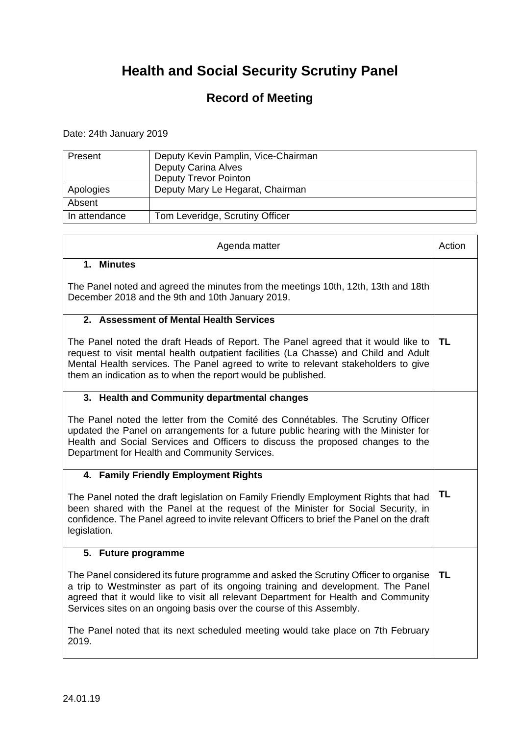### **Record of Meeting**

Date: 24th January 2019

 $\mathbf{r}$ 

| Present       | Deputy Kevin Pamplin, Vice-Chairman<br><b>Deputy Carina Alves</b><br><b>Deputy Trevor Pointon</b> |
|---------------|---------------------------------------------------------------------------------------------------|
| Apologies     | Deputy Mary Le Hegarat, Chairman                                                                  |
| Absent        |                                                                                                   |
| In attendance | Tom Leveridge, Scrutiny Officer                                                                   |

┑

| Agenda matter                                                                                                                                                                                                                                                                                                                           | Action |
|-----------------------------------------------------------------------------------------------------------------------------------------------------------------------------------------------------------------------------------------------------------------------------------------------------------------------------------------|--------|
| 1. Minutes                                                                                                                                                                                                                                                                                                                              |        |
| The Panel noted and agreed the minutes from the meetings 10th, 12th, 13th and 18th<br>December 2018 and the 9th and 10th January 2019.                                                                                                                                                                                                  |        |
| 2. Assessment of Mental Health Services                                                                                                                                                                                                                                                                                                 |        |
| The Panel noted the draft Heads of Report. The Panel agreed that it would like to<br>request to visit mental health outpatient facilities (La Chasse) and Child and Adult<br>Mental Health services. The Panel agreed to write to relevant stakeholders to give<br>them an indication as to when the report would be published.         | TL     |
| 3. Health and Community departmental changes                                                                                                                                                                                                                                                                                            |        |
| The Panel noted the letter from the Comité des Connétables. The Scrutiny Officer<br>updated the Panel on arrangements for a future public hearing with the Minister for<br>Health and Social Services and Officers to discuss the proposed changes to the<br>Department for Health and Community Services.                              |        |
| 4. Family Friendly Employment Rights                                                                                                                                                                                                                                                                                                    |        |
| The Panel noted the draft legislation on Family Friendly Employment Rights that had<br>been shared with the Panel at the request of the Minister for Social Security, in<br>confidence. The Panel agreed to invite relevant Officers to brief the Panel on the draft<br>legislation.                                                    | TL     |
| 5. Future programme                                                                                                                                                                                                                                                                                                                     |        |
| The Panel considered its future programme and asked the Scrutiny Officer to organise<br>a trip to Westminster as part of its ongoing training and development. The Panel<br>agreed that it would like to visit all relevant Department for Health and Community<br>Services sites on an ongoing basis over the course of this Assembly. | TL     |
| The Panel noted that its next scheduled meeting would take place on 7th February<br>2019.                                                                                                                                                                                                                                               |        |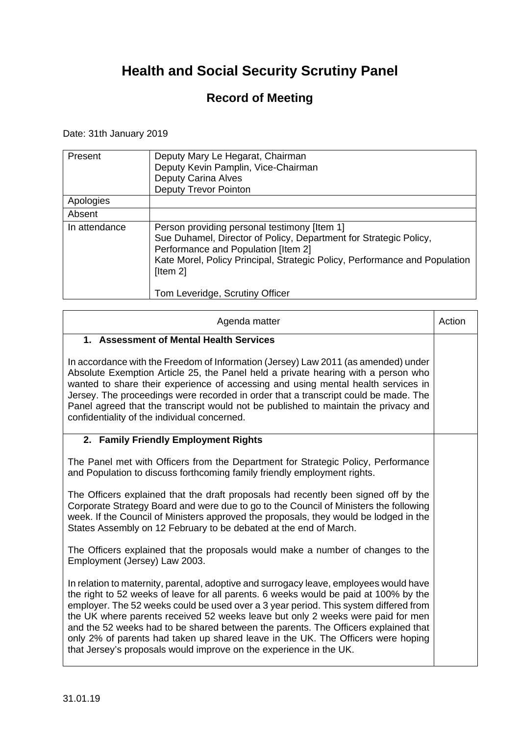### **Record of Meeting**

#### Date: 31th January 2019

| Present       | Deputy Mary Le Hegarat, Chairman<br>Deputy Kevin Pamplin, Vice-Chairman<br>Deputy Carina Alves<br><b>Deputy Trevor Pointon</b>                                                                                                                                                        |
|---------------|---------------------------------------------------------------------------------------------------------------------------------------------------------------------------------------------------------------------------------------------------------------------------------------|
| Apologies     |                                                                                                                                                                                                                                                                                       |
| Absent        |                                                                                                                                                                                                                                                                                       |
| In attendance | Person providing personal testimony [Item 1]<br>Sue Duhamel, Director of Policy, Department for Strategic Policy,<br>Performance and Population [Item 2]<br>Kate Morel, Policy Principal, Strategic Policy, Performance and Population<br>[Item 2]<br>Tom Leveridge, Scrutiny Officer |

| Agenda matter                                                                                                                                                                                                                                                                                                                                                                                                                                                                                                                                                                                             | Action |
|-----------------------------------------------------------------------------------------------------------------------------------------------------------------------------------------------------------------------------------------------------------------------------------------------------------------------------------------------------------------------------------------------------------------------------------------------------------------------------------------------------------------------------------------------------------------------------------------------------------|--------|
| 1. Assessment of Mental Health Services                                                                                                                                                                                                                                                                                                                                                                                                                                                                                                                                                                   |        |
| In accordance with the Freedom of Information (Jersey) Law 2011 (as amended) under<br>Absolute Exemption Article 25, the Panel held a private hearing with a person who<br>wanted to share their experience of accessing and using mental health services in<br>Jersey. The proceedings were recorded in order that a transcript could be made. The<br>Panel agreed that the transcript would not be published to maintain the privacy and<br>confidentiality of the individual concerned.                                                                                                                |        |
| 2. Family Friendly Employment Rights                                                                                                                                                                                                                                                                                                                                                                                                                                                                                                                                                                      |        |
| The Panel met with Officers from the Department for Strategic Policy, Performance<br>and Population to discuss forthcoming family friendly employment rights.                                                                                                                                                                                                                                                                                                                                                                                                                                             |        |
| The Officers explained that the draft proposals had recently been signed off by the<br>Corporate Strategy Board and were due to go to the Council of Ministers the following<br>week. If the Council of Ministers approved the proposals, they would be lodged in the<br>States Assembly on 12 February to be debated at the end of March.                                                                                                                                                                                                                                                                |        |
| The Officers explained that the proposals would make a number of changes to the<br>Employment (Jersey) Law 2003.                                                                                                                                                                                                                                                                                                                                                                                                                                                                                          |        |
| In relation to maternity, parental, adoptive and surrogacy leave, employees would have<br>the right to 52 weeks of leave for all parents. 6 weeks would be paid at 100% by the<br>employer. The 52 weeks could be used over a 3 year period. This system differed from<br>the UK where parents received 52 weeks leave but only 2 weeks were paid for men<br>and the 52 weeks had to be shared between the parents. The Officers explained that<br>only 2% of parents had taken up shared leave in the UK. The Officers were hoping<br>that Jersey's proposals would improve on the experience in the UK. |        |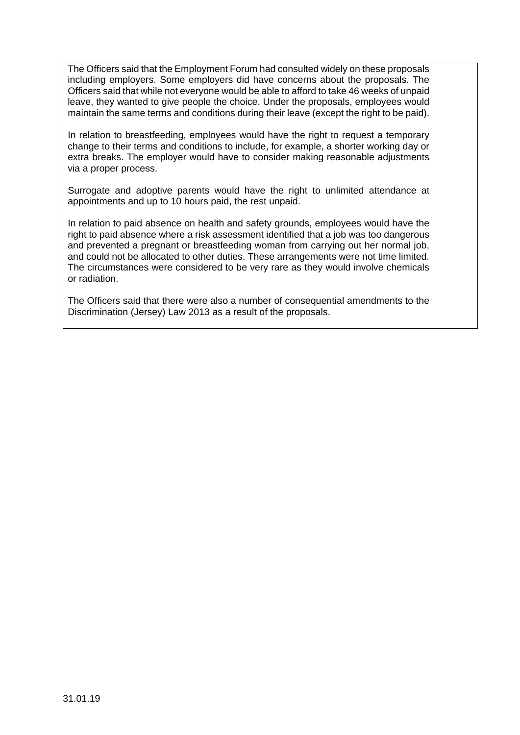The Officers said that the Employment Forum had consulted widely on these proposals including employers. Some employers did have concerns about the proposals. The Officers said that while not everyone would be able to afford to take 46 weeks of unpaid leave, they wanted to give people the choice. Under the proposals, employees would maintain the same terms and conditions during their leave (except the right to be paid).

In relation to breastfeeding, employees would have the right to request a temporary change to their terms and conditions to include, for example, a shorter working day or extra breaks. The employer would have to consider making reasonable adjustments via a proper process.

Surrogate and adoptive parents would have the right to unlimited attendance at appointments and up to 10 hours paid, the rest unpaid.

In relation to paid absence on health and safety grounds, employees would have the right to paid absence where a risk assessment identified that a job was too dangerous and prevented a pregnant or breastfeeding woman from carrying out her normal job, and could not be allocated to other duties. These arrangements were not time limited. The circumstances were considered to be very rare as they would involve chemicals or radiation.

The Officers said that there were also a number of consequential amendments to the Discrimination (Jersey) Law 2013 as a result of the proposals.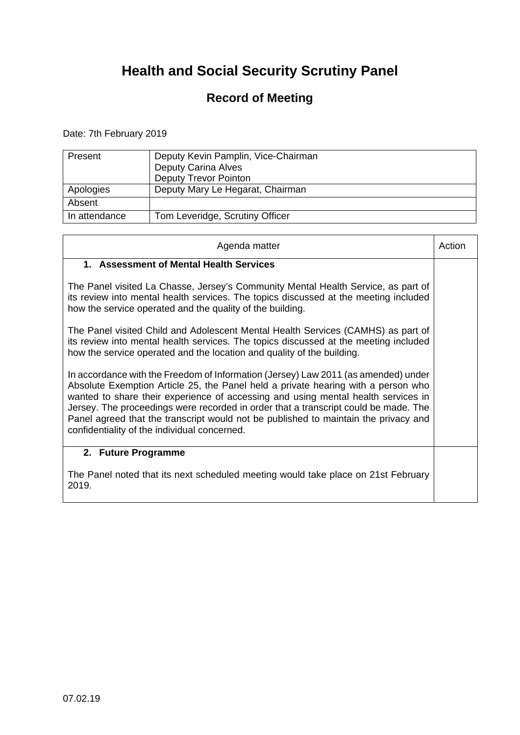### **Record of Meeting**

Date: 7th February 2019

| Present       | Deputy Kevin Pamplin, Vice-Chairman<br><b>Deputy Carina Alves</b><br><b>Deputy Trevor Pointon</b> |
|---------------|---------------------------------------------------------------------------------------------------|
| Apologies     | Deputy Mary Le Hegarat, Chairman                                                                  |
| Absent        |                                                                                                   |
| In attendance | Tom Leveridge, Scrutiny Officer                                                                   |

| Agenda matter                                                                                                                                                                                                                                                                                                                                                                                                                                                                              | Action |
|--------------------------------------------------------------------------------------------------------------------------------------------------------------------------------------------------------------------------------------------------------------------------------------------------------------------------------------------------------------------------------------------------------------------------------------------------------------------------------------------|--------|
| 1. Assessment of Mental Health Services                                                                                                                                                                                                                                                                                                                                                                                                                                                    |        |
| The Panel visited La Chasse, Jersey's Community Mental Health Service, as part of<br>its review into mental health services. The topics discussed at the meeting included<br>how the service operated and the quality of the building.                                                                                                                                                                                                                                                     |        |
| The Panel visited Child and Adolescent Mental Health Services (CAMHS) as part of<br>its review into mental health services. The topics discussed at the meeting included<br>how the service operated and the location and quality of the building.                                                                                                                                                                                                                                         |        |
| In accordance with the Freedom of Information (Jersey) Law 2011 (as amended) under<br>Absolute Exemption Article 25, the Panel held a private hearing with a person who<br>wanted to share their experience of accessing and using mental health services in<br>Jersey. The proceedings were recorded in order that a transcript could be made. The<br>Panel agreed that the transcript would not be published to maintain the privacy and<br>confidentiality of the individual concerned. |        |
| 2. Future Programme                                                                                                                                                                                                                                                                                                                                                                                                                                                                        |        |
| The Panel noted that its next scheduled meeting would take place on 21st February<br>2019.                                                                                                                                                                                                                                                                                                                                                                                                 |        |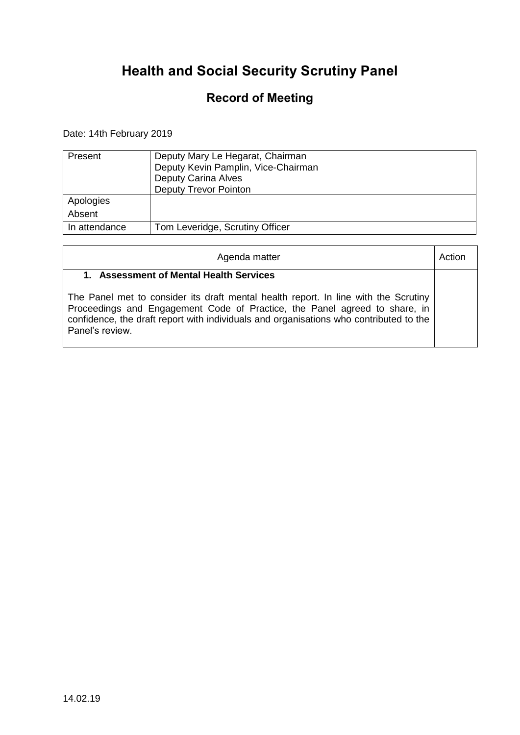### **Record of Meeting**

### Date: 14th February 2019

| Present       | Deputy Mary Le Hegarat, Chairman<br>Deputy Kevin Pamplin, Vice-Chairman<br><b>Deputy Carina Alves</b><br><b>Deputy Trevor Pointon</b> |
|---------------|---------------------------------------------------------------------------------------------------------------------------------------|
| Apologies     |                                                                                                                                       |
| Absent        |                                                                                                                                       |
| In attendance | Tom Leveridge, Scrutiny Officer                                                                                                       |

| Agenda matter                                                                                                                                                                                                                                                                                                             |  |
|---------------------------------------------------------------------------------------------------------------------------------------------------------------------------------------------------------------------------------------------------------------------------------------------------------------------------|--|
| 1. Assessment of Mental Health Services<br>The Panel met to consider its draft mental health report. In line with the Scrutiny<br>Proceedings and Engagement Code of Practice, the Panel agreed to share, in<br>confidence, the draft report with individuals and organisations who contributed to the<br>Panel's review. |  |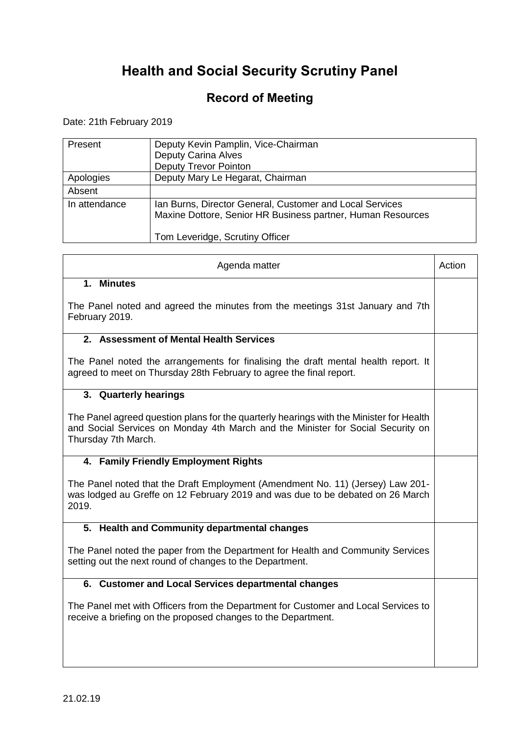### **Record of Meeting**

Date: 21th February 2019

 $\Gamma$ 

| Present       | Deputy Kevin Pamplin, Vice-Chairman<br><b>Deputy Carina Alves</b><br><b>Deputy Trevor Pointon</b>                                                          |
|---------------|------------------------------------------------------------------------------------------------------------------------------------------------------------|
| Apologies     | Deputy Mary Le Hegarat, Chairman                                                                                                                           |
| Absent        |                                                                                                                                                            |
| In attendance | Ian Burns, Director General, Customer and Local Services<br>Maxine Dottore, Senior HR Business partner, Human Resources<br>Tom Leveridge, Scrutiny Officer |

 $\overline{\phantom{a}}$ 

 $\mathbf{\tau}$ 

| Agenda matter                                                                                                                                                                                     | Action |
|---------------------------------------------------------------------------------------------------------------------------------------------------------------------------------------------------|--------|
| 1. Minutes                                                                                                                                                                                        |        |
| The Panel noted and agreed the minutes from the meetings 31st January and 7th<br>February 2019.                                                                                                   |        |
| 2. Assessment of Mental Health Services                                                                                                                                                           |        |
| The Panel noted the arrangements for finalising the draft mental health report. It<br>agreed to meet on Thursday 28th February to agree the final report.                                         |        |
| 3. Quarterly hearings                                                                                                                                                                             |        |
| The Panel agreed question plans for the quarterly hearings with the Minister for Health<br>and Social Services on Monday 4th March and the Minister for Social Security on<br>Thursday 7th March. |        |
| 4. Family Friendly Employment Rights                                                                                                                                                              |        |
| The Panel noted that the Draft Employment (Amendment No. 11) (Jersey) Law 201-<br>was lodged au Greffe on 12 February 2019 and was due to be debated on 26 March<br>2019.                         |        |
| 5. Health and Community departmental changes                                                                                                                                                      |        |
| The Panel noted the paper from the Department for Health and Community Services<br>setting out the next round of changes to the Department.                                                       |        |
| 6. Customer and Local Services departmental changes                                                                                                                                               |        |
| The Panel met with Officers from the Department for Customer and Local Services to<br>receive a briefing on the proposed changes to the Department.                                               |        |
|                                                                                                                                                                                                   |        |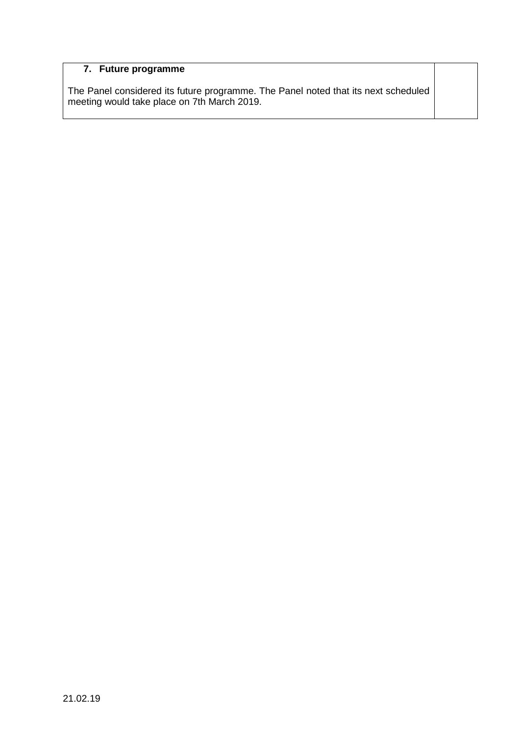#### **7. Future programme**

The Panel considered its future programme. The Panel noted that its next scheduled meeting would take place on 7th March 2019.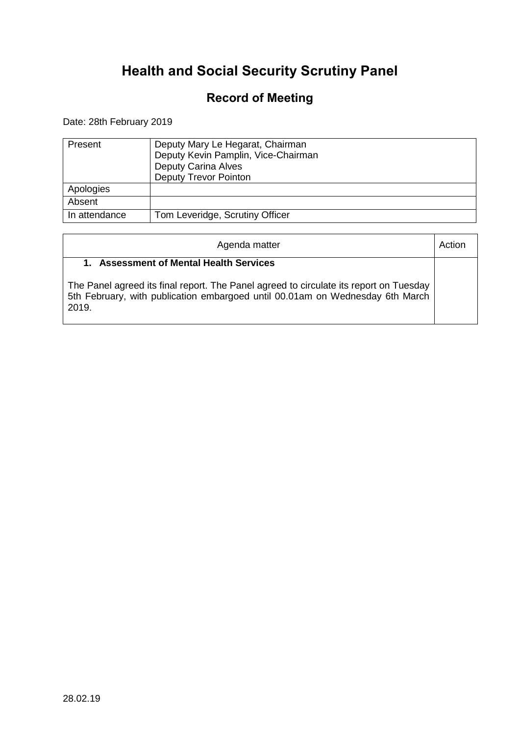### **Record of Meeting**

Date: 28th February 2019

| Present       | Deputy Mary Le Hegarat, Chairman<br>Deputy Kevin Pamplin, Vice-Chairman<br><b>Deputy Carina Alves</b><br><b>Deputy Trevor Pointon</b> |
|---------------|---------------------------------------------------------------------------------------------------------------------------------------|
| Apologies     |                                                                                                                                       |
| Absent        |                                                                                                                                       |
| In attendance | Tom Leveridge, Scrutiny Officer                                                                                                       |

| Agenda matter                                                                                                                                                                                                                   | Action |
|---------------------------------------------------------------------------------------------------------------------------------------------------------------------------------------------------------------------------------|--------|
| <b>Assessment of Mental Health Services</b><br>The Panel agreed its final report. The Panel agreed to circulate its report on Tuesday<br>5th February, with publication embargoed until 00.01am on Wednesday 6th March<br>2019. |        |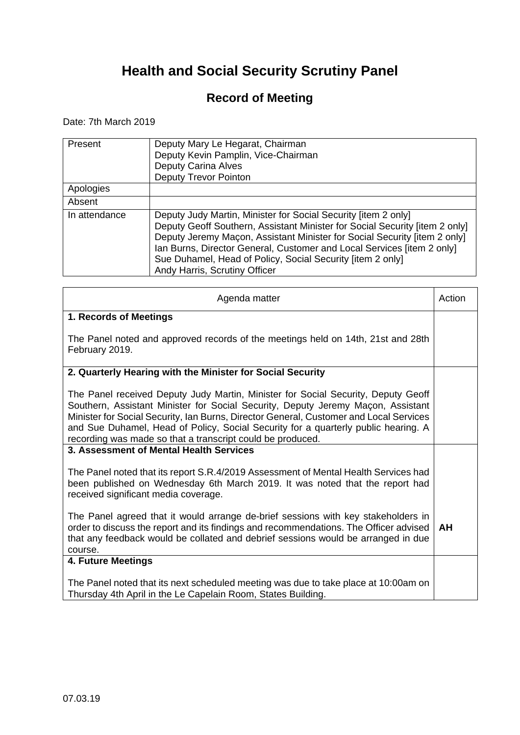### **Record of Meeting**

Date: 7th March 2019

| Present       | Deputy Mary Le Hegarat, Chairman<br>Deputy Kevin Pamplin, Vice-Chairman<br>Deputy Carina Alves<br><b>Deputy Trevor Pointon</b>                                                                                                                                                                                                                                                                      |
|---------------|-----------------------------------------------------------------------------------------------------------------------------------------------------------------------------------------------------------------------------------------------------------------------------------------------------------------------------------------------------------------------------------------------------|
| Apologies     |                                                                                                                                                                                                                                                                                                                                                                                                     |
| Absent        |                                                                                                                                                                                                                                                                                                                                                                                                     |
| In attendance | Deputy Judy Martin, Minister for Social Security (item 2 only)<br>Deputy Geoff Southern, Assistant Minister for Social Security [item 2 only]<br>Deputy Jeremy Maçon, Assistant Minister for Social Security [item 2 only]<br>Ian Burns, Director General, Customer and Local Services [item 2 only]<br>Sue Duhamel, Head of Policy, Social Security [item 2 only]<br>Andy Harris, Scrutiny Officer |

| Agenda matter                                                                                                                                                                                                                                                                                                                                                                                                       | Action    |
|---------------------------------------------------------------------------------------------------------------------------------------------------------------------------------------------------------------------------------------------------------------------------------------------------------------------------------------------------------------------------------------------------------------------|-----------|
| 1. Records of Meetings                                                                                                                                                                                                                                                                                                                                                                                              |           |
| The Panel noted and approved records of the meetings held on 14th, 21st and 28th<br>February 2019.                                                                                                                                                                                                                                                                                                                  |           |
| 2. Quarterly Hearing with the Minister for Social Security                                                                                                                                                                                                                                                                                                                                                          |           |
| The Panel received Deputy Judy Martin, Minister for Social Security, Deputy Geoff<br>Southern, Assistant Minister for Social Security, Deputy Jeremy Maçon, Assistant<br>Minister for Social Security, Ian Burns, Director General, Customer and Local Services<br>and Sue Duhamel, Head of Policy, Social Security for a quarterly public hearing. A<br>recording was made so that a transcript could be produced. |           |
| 3. Assessment of Mental Health Services                                                                                                                                                                                                                                                                                                                                                                             |           |
| The Panel noted that its report S.R.4/2019 Assessment of Mental Health Services had<br>been published on Wednesday 6th March 2019. It was noted that the report had<br>received significant media coverage.                                                                                                                                                                                                         |           |
| The Panel agreed that it would arrange de-brief sessions with key stakeholders in<br>order to discuss the report and its findings and recommendations. The Officer advised<br>that any feedback would be collated and debrief sessions would be arranged in due<br>course.                                                                                                                                          | <b>AH</b> |
| 4. Future Meetings                                                                                                                                                                                                                                                                                                                                                                                                  |           |
| The Panel noted that its next scheduled meeting was due to take place at 10:00am on<br>Thursday 4th April in the Le Capelain Room, States Building.                                                                                                                                                                                                                                                                 |           |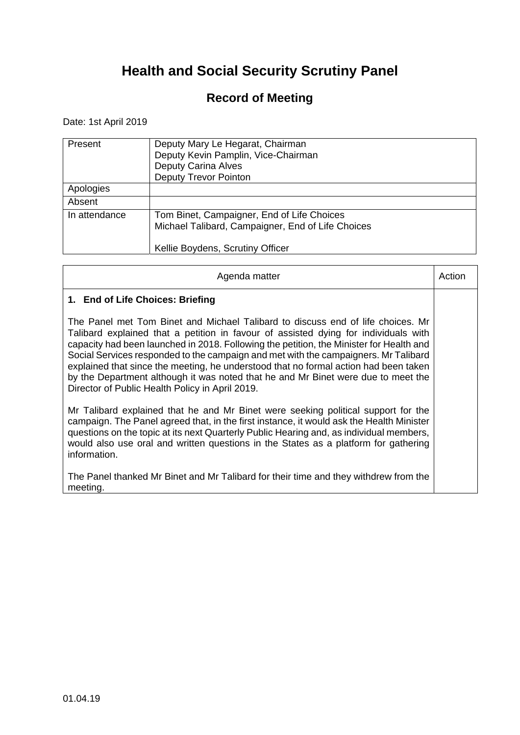### **Record of Meeting**

Date: 1st April 2019

r.

| Present       | Deputy Mary Le Hegarat, Chairman<br>Deputy Kevin Pamplin, Vice-Chairman<br><b>Deputy Carina Alves</b><br><b>Deputy Trevor Pointon</b> |
|---------------|---------------------------------------------------------------------------------------------------------------------------------------|
| Apologies     |                                                                                                                                       |
| Absent        |                                                                                                                                       |
| In attendance | Tom Binet, Campaigner, End of Life Choices<br>Michael Talibard, Campaigner, End of Life Choices<br>Kellie Boydens, Scrutiny Officer   |

| Agenda matter                                                                                                                                                                                                                                                                                                                                                                                                                                                                                                                                                                            | Action |
|------------------------------------------------------------------------------------------------------------------------------------------------------------------------------------------------------------------------------------------------------------------------------------------------------------------------------------------------------------------------------------------------------------------------------------------------------------------------------------------------------------------------------------------------------------------------------------------|--------|
| 1. End of Life Choices: Briefing                                                                                                                                                                                                                                                                                                                                                                                                                                                                                                                                                         |        |
| The Panel met Tom Binet and Michael Talibard to discuss end of life choices. Mr<br>Talibard explained that a petition in favour of assisted dying for individuals with<br>capacity had been launched in 2018. Following the petition, the Minister for Health and<br>Social Services responded to the campaign and met with the campaigners. Mr Talibard<br>explained that since the meeting, he understood that no formal action had been taken<br>by the Department although it was noted that he and Mr Binet were due to meet the<br>Director of Public Health Policy in April 2019. |        |
| Mr Talibard explained that he and Mr Binet were seeking political support for the<br>campaign. The Panel agreed that, in the first instance, it would ask the Health Minister<br>questions on the topic at its next Quarterly Public Hearing and, as individual members,<br>would also use oral and written questions in the States as a platform for gathering<br>information.                                                                                                                                                                                                          |        |
| The Panel thanked Mr Binet and Mr Talibard for their time and they withdrew from the<br>meeting.                                                                                                                                                                                                                                                                                                                                                                                                                                                                                         |        |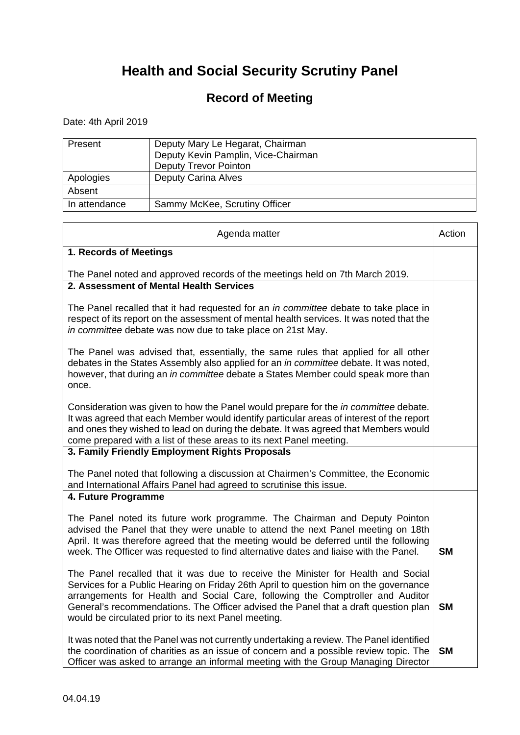### **Record of Meeting**

Date: 4th April 2019

| Present       | Deputy Mary Le Hegarat, Chairman<br>Deputy Kevin Pamplin, Vice-Chairman<br><b>Deputy Trevor Pointon</b> |
|---------------|---------------------------------------------------------------------------------------------------------|
| Apologies     | <b>Deputy Carina Alves</b>                                                                              |
| Absent        |                                                                                                         |
| In attendance | Sammy McKee, Scrutiny Officer                                                                           |

| Agenda matter                                                                                                                                                                                                                                                                                                                                                                                             | Action    |
|-----------------------------------------------------------------------------------------------------------------------------------------------------------------------------------------------------------------------------------------------------------------------------------------------------------------------------------------------------------------------------------------------------------|-----------|
| 1. Records of Meetings                                                                                                                                                                                                                                                                                                                                                                                    |           |
| The Panel noted and approved records of the meetings held on 7th March 2019.                                                                                                                                                                                                                                                                                                                              |           |
| 2. Assessment of Mental Health Services                                                                                                                                                                                                                                                                                                                                                                   |           |
| The Panel recalled that it had requested for an <i>in committee</i> debate to take place in<br>respect of its report on the assessment of mental health services. It was noted that the<br>in committee debate was now due to take place on 21st May.                                                                                                                                                     |           |
| The Panel was advised that, essentially, the same rules that applied for all other<br>debates in the States Assembly also applied for an in committee debate. It was noted,<br>however, that during an in committee debate a States Member could speak more than<br>once.                                                                                                                                 |           |
| Consideration was given to how the Panel would prepare for the <i>in committee</i> debate.<br>It was agreed that each Member would identify particular areas of interest of the report<br>and ones they wished to lead on during the debate. It was agreed that Members would<br>come prepared with a list of these areas to its next Panel meeting.                                                      |           |
| 3. Family Friendly Employment Rights Proposals                                                                                                                                                                                                                                                                                                                                                            |           |
| The Panel noted that following a discussion at Chairmen's Committee, the Economic<br>and International Affairs Panel had agreed to scrutinise this issue.                                                                                                                                                                                                                                                 |           |
| 4. Future Programme                                                                                                                                                                                                                                                                                                                                                                                       |           |
| The Panel noted its future work programme. The Chairman and Deputy Pointon<br>advised the Panel that they were unable to attend the next Panel meeting on 18th<br>April. It was therefore agreed that the meeting would be deferred until the following<br>week. The Officer was requested to find alternative dates and liaise with the Panel.                                                           | <b>SM</b> |
| The Panel recalled that it was due to receive the Minister for Health and Social<br>Services for a Public Hearing on Friday 26th April to question him on the governance<br>arrangements for Health and Social Care, following the Comptroller and Auditor<br>General's recommendations. The Officer advised the Panel that a draft question plan<br>would be circulated prior to its next Panel meeting. | <b>SM</b> |
| It was noted that the Panel was not currently undertaking a review. The Panel identified<br>the coordination of charities as an issue of concern and a possible review topic. The<br>Officer was asked to arrange an informal meeting with the Group Managing Director                                                                                                                                    | <b>SM</b> |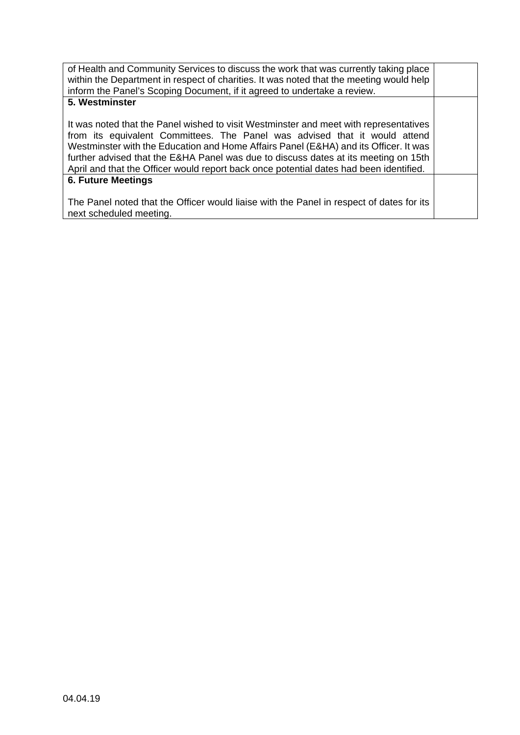| of Health and Community Services to discuss the work that was currently taking place<br>within the Department in respect of charities. It was noted that the meeting would help<br>inform the Panel's Scoping Document, if it agreed to undertake a review.                                                                                                                                                                                  |  |
|----------------------------------------------------------------------------------------------------------------------------------------------------------------------------------------------------------------------------------------------------------------------------------------------------------------------------------------------------------------------------------------------------------------------------------------------|--|
| 5. Westminster                                                                                                                                                                                                                                                                                                                                                                                                                               |  |
| It was noted that the Panel wished to visit Westminster and meet with representatives<br>from its equivalent Committees. The Panel was advised that it would attend<br>Westminster with the Education and Home Affairs Panel (E&HA) and its Officer. It was<br>further advised that the E&HA Panel was due to discuss dates at its meeting on 15th<br>April and that the Officer would report back once potential dates had been identified. |  |
| <b>6. Future Meetings</b>                                                                                                                                                                                                                                                                                                                                                                                                                    |  |
| The Panel noted that the Officer would liaise with the Panel in respect of dates for its<br>next scheduled meeting.                                                                                                                                                                                                                                                                                                                          |  |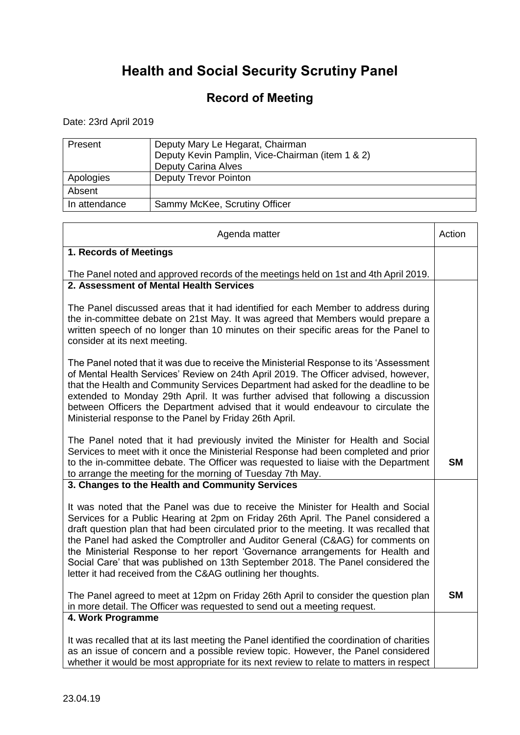### **Record of Meeting**

Date: 23rd April 2019

| Present       | Deputy Mary Le Hegarat, Chairman<br>Deputy Kevin Pamplin, Vice-Chairman (item 1 & 2)<br><b>Deputy Carina Alves</b> |
|---------------|--------------------------------------------------------------------------------------------------------------------|
| Apologies     | <b>Deputy Trevor Pointon</b>                                                                                       |
| Absent        |                                                                                                                    |
| In attendance | Sammy McKee, Scrutiny Officer                                                                                      |

| Agenda matter                                                                                                                                                                                                                                                                                                                                                                                                                                                                                                                                                                             | Action    |
|-------------------------------------------------------------------------------------------------------------------------------------------------------------------------------------------------------------------------------------------------------------------------------------------------------------------------------------------------------------------------------------------------------------------------------------------------------------------------------------------------------------------------------------------------------------------------------------------|-----------|
| 1. Records of Meetings                                                                                                                                                                                                                                                                                                                                                                                                                                                                                                                                                                    |           |
| The Panel noted and approved records of the meetings held on 1st and 4th April 2019.                                                                                                                                                                                                                                                                                                                                                                                                                                                                                                      |           |
| 2. Assessment of Mental Health Services                                                                                                                                                                                                                                                                                                                                                                                                                                                                                                                                                   |           |
| The Panel discussed areas that it had identified for each Member to address during<br>the in-committee debate on 21st May. It was agreed that Members would prepare a<br>written speech of no longer than 10 minutes on their specific areas for the Panel to<br>consider at its next meeting.                                                                                                                                                                                                                                                                                            |           |
| The Panel noted that it was due to receive the Ministerial Response to its 'Assessment<br>of Mental Health Services' Review on 24th April 2019. The Officer advised, however,<br>that the Health and Community Services Department had asked for the deadline to be<br>extended to Monday 29th April. It was further advised that following a discussion<br>between Officers the Department advised that it would endeavour to circulate the<br>Ministerial response to the Panel by Friday 26th April.                                                                                   |           |
| The Panel noted that it had previously invited the Minister for Health and Social<br>Services to meet with it once the Ministerial Response had been completed and prior<br>to the in-committee debate. The Officer was requested to liaise with the Department<br>to arrange the meeting for the morning of Tuesday 7th May.                                                                                                                                                                                                                                                             | <b>SM</b> |
| 3. Changes to the Health and Community Services                                                                                                                                                                                                                                                                                                                                                                                                                                                                                                                                           |           |
| It was noted that the Panel was due to receive the Minister for Health and Social<br>Services for a Public Hearing at 2pm on Friday 26th April. The Panel considered a<br>draft question plan that had been circulated prior to the meeting. It was recalled that<br>the Panel had asked the Comptroller and Auditor General (C&AG) for comments on<br>the Ministerial Response to her report 'Governance arrangements for Health and<br>Social Care' that was published on 13th September 2018. The Panel considered the<br>letter it had received from the C&AG outlining her thoughts. |           |
| The Panel agreed to meet at 12pm on Friday 26th April to consider the question plan<br>in more detail. The Officer was requested to send out a meeting request.                                                                                                                                                                                                                                                                                                                                                                                                                           | <b>SM</b> |
| 4. Work Programme                                                                                                                                                                                                                                                                                                                                                                                                                                                                                                                                                                         |           |
| It was recalled that at its last meeting the Panel identified the coordination of charities<br>as an issue of concern and a possible review topic. However, the Panel considered<br>whether it would be most appropriate for its next review to relate to matters in respect                                                                                                                                                                                                                                                                                                              |           |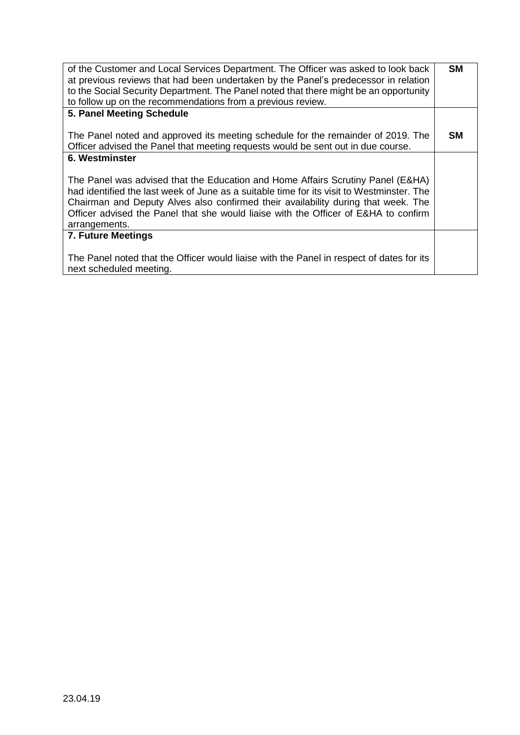| of the Customer and Local Services Department. The Officer was asked to look back<br>at previous reviews that had been undertaken by the Panel's predecessor in relation<br>to the Social Security Department. The Panel noted that there might be an opportunity<br>to follow up on the recommendations from a previous review.                                          | <b>SM</b> |
|---------------------------------------------------------------------------------------------------------------------------------------------------------------------------------------------------------------------------------------------------------------------------------------------------------------------------------------------------------------------------|-----------|
| 5. Panel Meeting Schedule                                                                                                                                                                                                                                                                                                                                                 |           |
| The Panel noted and approved its meeting schedule for the remainder of 2019. The<br>Officer advised the Panel that meeting requests would be sent out in due course.                                                                                                                                                                                                      | <b>SM</b> |
| 6. Westminster                                                                                                                                                                                                                                                                                                                                                            |           |
| The Panel was advised that the Education and Home Affairs Scrutiny Panel (E&HA)<br>had identified the last week of June as a suitable time for its visit to Westminster. The<br>Chairman and Deputy Alves also confirmed their availability during that week. The<br>Officer advised the Panel that she would liaise with the Officer of E&HA to confirm<br>arrangements. |           |
| 7. Future Meetings                                                                                                                                                                                                                                                                                                                                                        |           |
| The Panel noted that the Officer would liaise with the Panel in respect of dates for its<br>next scheduled meeting.                                                                                                                                                                                                                                                       |           |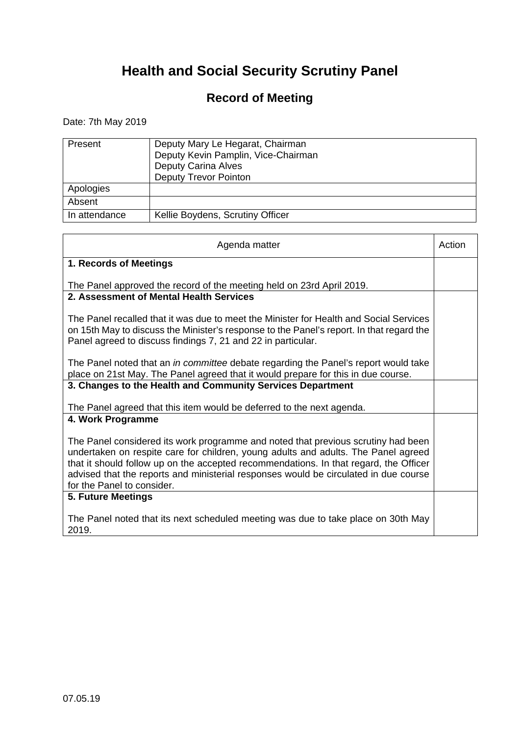### **Record of Meeting**

Date: 7th May 2019

| Present       | Deputy Mary Le Hegarat, Chairman<br>Deputy Kevin Pamplin, Vice-Chairman<br><b>Deputy Carina Alves</b><br><b>Deputy Trevor Pointon</b> |
|---------------|---------------------------------------------------------------------------------------------------------------------------------------|
| Apologies     |                                                                                                                                       |
| Absent        |                                                                                                                                       |
| In attendance | Kellie Boydens, Scrutiny Officer                                                                                                      |

| Agenda matter                                                                                                                                                                                                                                                                                                                                                                          | Action |
|----------------------------------------------------------------------------------------------------------------------------------------------------------------------------------------------------------------------------------------------------------------------------------------------------------------------------------------------------------------------------------------|--------|
| 1. Records of Meetings                                                                                                                                                                                                                                                                                                                                                                 |        |
| The Panel approved the record of the meeting held on 23rd April 2019.                                                                                                                                                                                                                                                                                                                  |        |
| 2. Assessment of Mental Health Services                                                                                                                                                                                                                                                                                                                                                |        |
| The Panel recalled that it was due to meet the Minister for Health and Social Services<br>on 15th May to discuss the Minister's response to the Panel's report. In that regard the<br>Panel agreed to discuss findings 7, 21 and 22 in particular.                                                                                                                                     |        |
| The Panel noted that an <i>in committee</i> debate regarding the Panel's report would take<br>place on 21st May. The Panel agreed that it would prepare for this in due course.                                                                                                                                                                                                        |        |
| 3. Changes to the Health and Community Services Department                                                                                                                                                                                                                                                                                                                             |        |
| The Panel agreed that this item would be deferred to the next agenda.                                                                                                                                                                                                                                                                                                                  |        |
| 4. Work Programme                                                                                                                                                                                                                                                                                                                                                                      |        |
| The Panel considered its work programme and noted that previous scrutiny had been<br>undertaken on respite care for children, young adults and adults. The Panel agreed<br>that it should follow up on the accepted recommendations. In that regard, the Officer<br>advised that the reports and ministerial responses would be circulated in due course<br>for the Panel to consider. |        |
| 5. Future Meetings                                                                                                                                                                                                                                                                                                                                                                     |        |
| The Panel noted that its next scheduled meeting was due to take place on 30th May<br>2019.                                                                                                                                                                                                                                                                                             |        |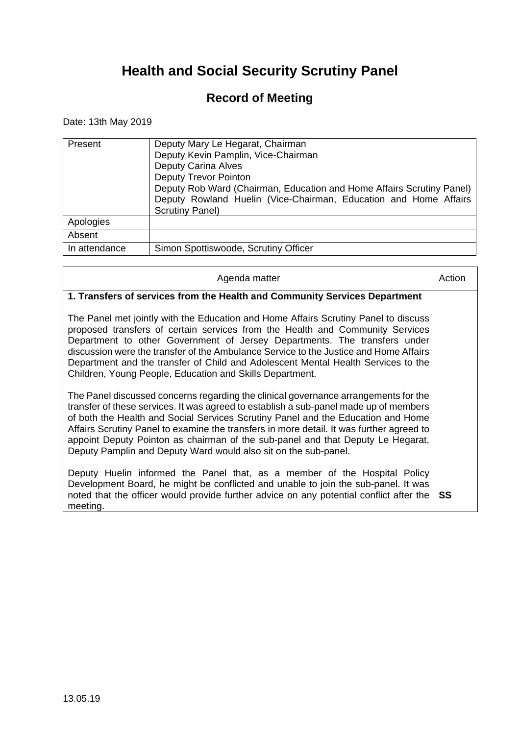### **Record of Meeting**

Date: 13th May 2019

| Present       | Deputy Mary Le Hegarat, Chairman<br>Deputy Kevin Pamplin, Vice-Chairman<br><b>Deputy Carina Alves</b><br><b>Deputy Trevor Pointon</b><br>Deputy Rob Ward (Chairman, Education and Home Affairs Scrutiny Panel)<br>Deputy Rowland Huelin (Vice-Chairman, Education and Home Affairs<br><b>Scrutiny Panel)</b> |
|---------------|--------------------------------------------------------------------------------------------------------------------------------------------------------------------------------------------------------------------------------------------------------------------------------------------------------------|
| Apologies     |                                                                                                                                                                                                                                                                                                              |
| Absent        |                                                                                                                                                                                                                                                                                                              |
| In attendance | Simon Spottiswoode, Scrutiny Officer                                                                                                                                                                                                                                                                         |

| Agenda matter                                                                                                                                                                                                                                                                                                                                                                                                                                                                                                      | Action |
|--------------------------------------------------------------------------------------------------------------------------------------------------------------------------------------------------------------------------------------------------------------------------------------------------------------------------------------------------------------------------------------------------------------------------------------------------------------------------------------------------------------------|--------|
| 1. Transfers of services from the Health and Community Services Department                                                                                                                                                                                                                                                                                                                                                                                                                                         |        |
| The Panel met jointly with the Education and Home Affairs Scrutiny Panel to discuss<br>proposed transfers of certain services from the Health and Community Services<br>Department to other Government of Jersey Departments. The transfers under<br>discussion were the transfer of the Ambulance Service to the Justice and Home Affairs<br>Department and the transfer of Child and Adolescent Mental Health Services to the<br>Children, Young People, Education and Skills Department.                        |        |
| The Panel discussed concerns regarding the clinical governance arrangements for the<br>transfer of these services. It was agreed to establish a sub-panel made up of members<br>of both the Health and Social Services Scrutiny Panel and the Education and Home<br>Affairs Scrutiny Panel to examine the transfers in more detail. It was further agreed to<br>appoint Deputy Pointon as chairman of the sub-panel and that Deputy Le Hegarat,<br>Deputy Pamplin and Deputy Ward would also sit on the sub-panel. |        |
| Deputy Huelin informed the Panel that, as a member of the Hospital Policy<br>Development Board, he might be conflicted and unable to join the sub-panel. It was<br>noted that the officer would provide further advice on any potential conflict after the<br>meeting.                                                                                                                                                                                                                                             | SS     |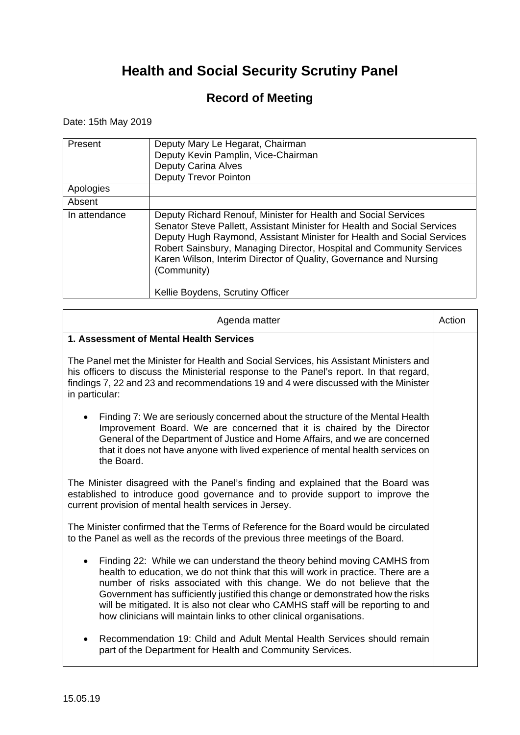### **Record of Meeting**

Date: 15th May 2019

r.

| Present       | Deputy Mary Le Hegarat, Chairman<br>Deputy Kevin Pamplin, Vice-Chairman<br>Deputy Carina Alves<br><b>Deputy Trevor Pointon</b>                                                                                                                                                                                                                                                                                       |
|---------------|----------------------------------------------------------------------------------------------------------------------------------------------------------------------------------------------------------------------------------------------------------------------------------------------------------------------------------------------------------------------------------------------------------------------|
| Apologies     |                                                                                                                                                                                                                                                                                                                                                                                                                      |
| Absent        |                                                                                                                                                                                                                                                                                                                                                                                                                      |
| In attendance | Deputy Richard Renouf, Minister for Health and Social Services<br>Senator Steve Pallett, Assistant Minister for Health and Social Services<br>Deputy Hugh Raymond, Assistant Minister for Health and Social Services<br>Robert Sainsbury, Managing Director, Hospital and Community Services<br>Karen Wilson, Interim Director of Quality, Governance and Nursing<br>(Community)<br>Kellie Boydens, Scrutiny Officer |

 $\overline{\phantom{0}}$ 

| Agenda matter                                                                                                                                                                                                                                                                                                                                                                                                                                                                         | Action |
|---------------------------------------------------------------------------------------------------------------------------------------------------------------------------------------------------------------------------------------------------------------------------------------------------------------------------------------------------------------------------------------------------------------------------------------------------------------------------------------|--------|
| 1. Assessment of Mental Health Services                                                                                                                                                                                                                                                                                                                                                                                                                                               |        |
| The Panel met the Minister for Health and Social Services, his Assistant Ministers and<br>his officers to discuss the Ministerial response to the Panel's report. In that regard,<br>findings 7, 22 and 23 and recommendations 19 and 4 were discussed with the Minister<br>in particular:                                                                                                                                                                                            |        |
| Finding 7: We are seriously concerned about the structure of the Mental Health<br>Improvement Board. We are concerned that it is chaired by the Director<br>General of the Department of Justice and Home Affairs, and we are concerned<br>that it does not have anyone with lived experience of mental health services on<br>the Board.                                                                                                                                              |        |
| The Minister disagreed with the Panel's finding and explained that the Board was<br>established to introduce good governance and to provide support to improve the<br>current provision of mental health services in Jersey.                                                                                                                                                                                                                                                          |        |
| The Minister confirmed that the Terms of Reference for the Board would be circulated<br>to the Panel as well as the records of the previous three meetings of the Board.                                                                                                                                                                                                                                                                                                              |        |
| Finding 22: While we can understand the theory behind moving CAMHS from<br>health to education, we do not think that this will work in practice. There are a<br>number of risks associated with this change. We do not believe that the<br>Government has sufficiently justified this change or demonstrated how the risks<br>will be mitigated. It is also not clear who CAMHS staff will be reporting to and<br>how clinicians will maintain links to other clinical organisations. |        |
| Recommendation 19: Child and Adult Mental Health Services should remain<br>part of the Department for Health and Community Services.                                                                                                                                                                                                                                                                                                                                                  |        |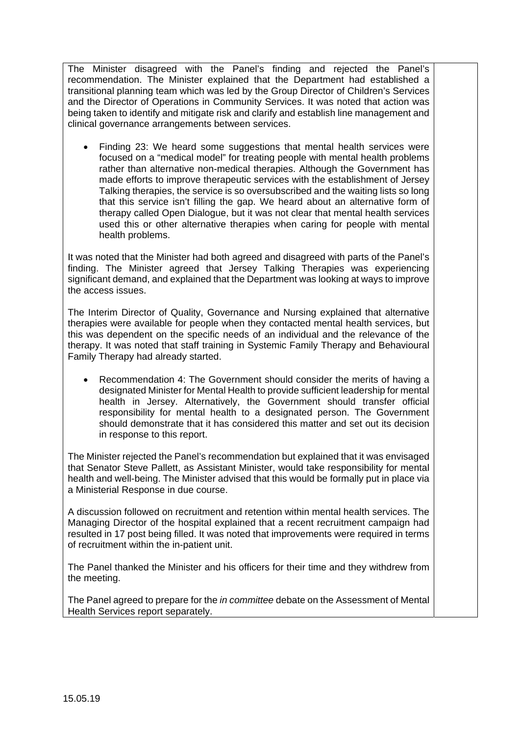The Minister disagreed with the Panel's finding and rejected the Panel's recommendation. The Minister explained that the Department had established a transitional planning team which was led by the Group Director of Children's Services and the Director of Operations in Community Services. It was noted that action was being taken to identify and mitigate risk and clarify and establish line management and clinical governance arrangements between services.

 Finding 23: We heard some suggestions that mental health services were focused on a "medical model" for treating people with mental health problems rather than alternative non-medical therapies. Although the Government has made efforts to improve therapeutic services with the establishment of Jersey Talking therapies, the service is so oversubscribed and the waiting lists so long that this service isn't filling the gap. We heard about an alternative form of therapy called Open Dialogue, but it was not clear that mental health services used this or other alternative therapies when caring for people with mental health problems.

It was noted that the Minister had both agreed and disagreed with parts of the Panel's finding. The Minister agreed that Jersey Talking Therapies was experiencing significant demand, and explained that the Department was looking at ways to improve the access issues.

The Interim Director of Quality, Governance and Nursing explained that alternative therapies were available for people when they contacted mental health services, but this was dependent on the specific needs of an individual and the relevance of the therapy. It was noted that staff training in Systemic Family Therapy and Behavioural Family Therapy had already started.

 Recommendation 4: The Government should consider the merits of having a designated Minister for Mental Health to provide sufficient leadership for mental health in Jersey. Alternatively, the Government should transfer official responsibility for mental health to a designated person. The Government should demonstrate that it has considered this matter and set out its decision in response to this report.

The Minister rejected the Panel's recommendation but explained that it was envisaged that Senator Steve Pallett, as Assistant Minister, would take responsibility for mental health and well-being. The Minister advised that this would be formally put in place via a Ministerial Response in due course.

A discussion followed on recruitment and retention within mental health services. The Managing Director of the hospital explained that a recent recruitment campaign had resulted in 17 post being filled. It was noted that improvements were required in terms of recruitment within the in-patient unit.

The Panel thanked the Minister and his officers for their time and they withdrew from the meeting.

The Panel agreed to prepare for the *in committee* debate on the Assessment of Mental Health Services report separately.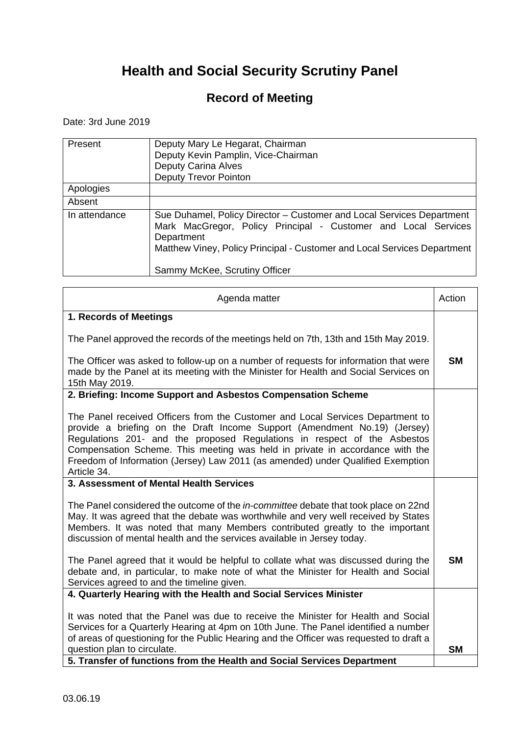### **Record of Meeting**

Date: 3rd June 2019

| Present       | Deputy Mary Le Hegarat, Chairman<br>Deputy Kevin Pamplin, Vice-Chairman<br><b>Deputy Carina Alves</b><br><b>Deputy Trevor Pointon</b>                                                                                                                              |
|---------------|--------------------------------------------------------------------------------------------------------------------------------------------------------------------------------------------------------------------------------------------------------------------|
| Apologies     |                                                                                                                                                                                                                                                                    |
| Absent        |                                                                                                                                                                                                                                                                    |
| In attendance | Sue Duhamel, Policy Director - Customer and Local Services Department<br>Mark MacGregor, Policy Principal - Customer and Local Services<br>Department<br>Matthew Viney, Policy Principal - Customer and Local Services Department<br>Sammy McKee, Scrutiny Officer |

| Agenda matter                                                                                                                                                                                                                                                                                                                                                                                                             | Action    |
|---------------------------------------------------------------------------------------------------------------------------------------------------------------------------------------------------------------------------------------------------------------------------------------------------------------------------------------------------------------------------------------------------------------------------|-----------|
| 1. Records of Meetings                                                                                                                                                                                                                                                                                                                                                                                                    |           |
| The Panel approved the records of the meetings held on 7th, 13th and 15th May 2019.                                                                                                                                                                                                                                                                                                                                       |           |
| The Officer was asked to follow-up on a number of requests for information that were<br>made by the Panel at its meeting with the Minister for Health and Social Services on<br>15th May 2019.                                                                                                                                                                                                                            | <b>SM</b> |
| 2. Briefing: Income Support and Asbestos Compensation Scheme                                                                                                                                                                                                                                                                                                                                                              |           |
| The Panel received Officers from the Customer and Local Services Department to<br>provide a briefing on the Draft Income Support (Amendment No.19) (Jersey)<br>Regulations 201- and the proposed Regulations in respect of the Asbestos<br>Compensation Scheme. This meeting was held in private in accordance with the<br>Freedom of Information (Jersey) Law 2011 (as amended) under Qualified Exemption<br>Article 34. |           |
| 3. Assessment of Mental Health Services                                                                                                                                                                                                                                                                                                                                                                                   |           |
| The Panel considered the outcome of the in-committee debate that took place on 22nd<br>May. It was agreed that the debate was worthwhile and very well received by States<br>Members. It was noted that many Members contributed greatly to the important<br>discussion of mental health and the services available in Jersey today.                                                                                      |           |
| The Panel agreed that it would be helpful to collate what was discussed during the<br>debate and, in particular, to make note of what the Minister for Health and Social<br>Services agreed to and the timeline given.                                                                                                                                                                                                    | <b>SM</b> |
| 4. Quarterly Hearing with the Health and Social Services Minister                                                                                                                                                                                                                                                                                                                                                         |           |
| It was noted that the Panel was due to receive the Minister for Health and Social<br>Services for a Quarterly Hearing at 4pm on 10th June. The Panel identified a number<br>of areas of questioning for the Public Hearing and the Officer was requested to draft a                                                                                                                                                       |           |
| question plan to circulate.                                                                                                                                                                                                                                                                                                                                                                                               | <b>SM</b> |
| 5. Transfer of functions from the Health and Social Services Department                                                                                                                                                                                                                                                                                                                                                   |           |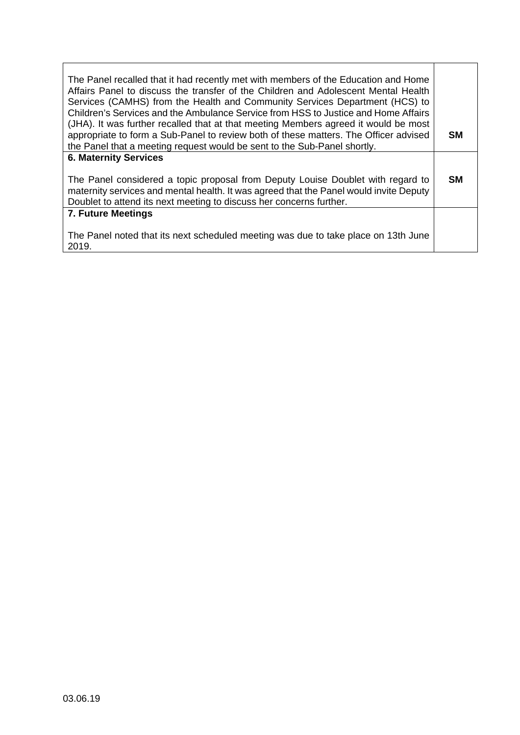| The Panel recalled that it had recently met with members of the Education and Home<br>Affairs Panel to discuss the transfer of the Children and Adolescent Mental Health<br>Services (CAMHS) from the Health and Community Services Department (HCS) to<br>Children's Services and the Ambulance Service from HSS to Justice and Home Affairs<br>(JHA). It was further recalled that at that meeting Members agreed it would be most<br>appropriate to form a Sub-Panel to review both of these matters. The Officer advised<br>the Panel that a meeting request would be sent to the Sub-Panel shortly. | <b>SM</b> |
|----------------------------------------------------------------------------------------------------------------------------------------------------------------------------------------------------------------------------------------------------------------------------------------------------------------------------------------------------------------------------------------------------------------------------------------------------------------------------------------------------------------------------------------------------------------------------------------------------------|-----------|
| <b>6. Maternity Services</b>                                                                                                                                                                                                                                                                                                                                                                                                                                                                                                                                                                             |           |
| The Panel considered a topic proposal from Deputy Louise Doublet with regard to<br>maternity services and mental health. It was agreed that the Panel would invite Deputy<br>Doublet to attend its next meeting to discuss her concerns further.                                                                                                                                                                                                                                                                                                                                                         | <b>SM</b> |
| <b>7. Future Meetings</b>                                                                                                                                                                                                                                                                                                                                                                                                                                                                                                                                                                                |           |
| The Panel noted that its next scheduled meeting was due to take place on 13th June<br>2019.                                                                                                                                                                                                                                                                                                                                                                                                                                                                                                              |           |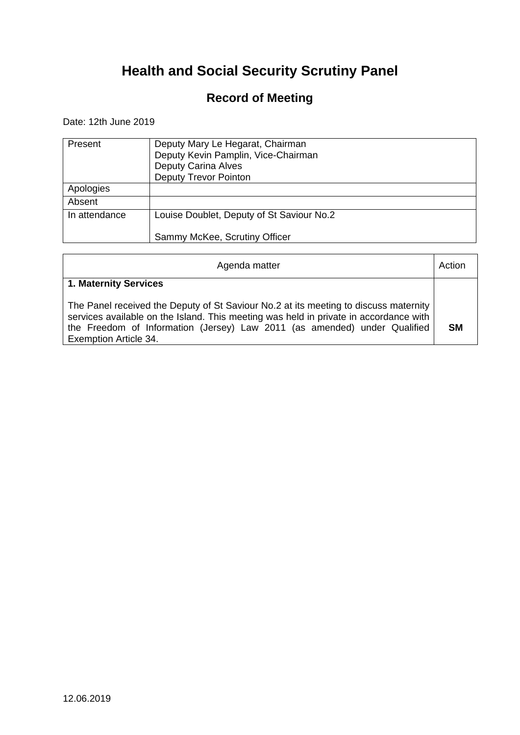### **Record of Meeting**

Date: 12th June 2019

| Present       | Deputy Mary Le Hegarat, Chairman<br>Deputy Kevin Pamplin, Vice-Chairman<br><b>Deputy Carina Alves</b><br><b>Deputy Trevor Pointon</b> |
|---------------|---------------------------------------------------------------------------------------------------------------------------------------|
| Apologies     |                                                                                                                                       |
| Absent        |                                                                                                                                       |
| In attendance | Louise Doublet, Deputy of St Saviour No.2                                                                                             |
|               | Sammy McKee, Scrutiny Officer                                                                                                         |

| Agenda matter                                                                                                                                                                                                                                                                              | Action    |
|--------------------------------------------------------------------------------------------------------------------------------------------------------------------------------------------------------------------------------------------------------------------------------------------|-----------|
| 1. Maternity Services                                                                                                                                                                                                                                                                      |           |
| The Panel received the Deputy of St Saviour No.2 at its meeting to discuss maternity<br>services available on the Island. This meeting was held in private in accordance with<br>the Freedom of Information (Jersey) Law 2011 (as amended) under Qualified<br><b>Exemption Article 34.</b> | <b>SM</b> |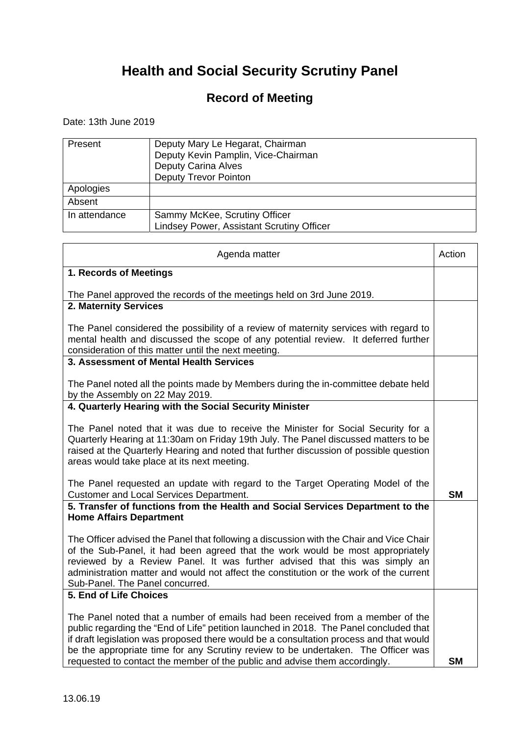### **Record of Meeting**

Date: 13th June 2019

| Present       | Deputy Mary Le Hegarat, Chairman<br>Deputy Kevin Pamplin, Vice-Chairman<br><b>Deputy Carina Alves</b><br><b>Deputy Trevor Pointon</b> |
|---------------|---------------------------------------------------------------------------------------------------------------------------------------|
| Apologies     |                                                                                                                                       |
| Absent        |                                                                                                                                       |
| In attendance | Sammy McKee, Scrutiny Officer<br><b>Lindsey Power, Assistant Scrutiny Officer</b>                                                     |

| Agenda matter                                                                                                                                                                                                                                                                                                                                                                                                                         | Action    |
|---------------------------------------------------------------------------------------------------------------------------------------------------------------------------------------------------------------------------------------------------------------------------------------------------------------------------------------------------------------------------------------------------------------------------------------|-----------|
| 1. Records of Meetings                                                                                                                                                                                                                                                                                                                                                                                                                |           |
| The Panel approved the records of the meetings held on 3rd June 2019.                                                                                                                                                                                                                                                                                                                                                                 |           |
| 2. Maternity Services                                                                                                                                                                                                                                                                                                                                                                                                                 |           |
| The Panel considered the possibility of a review of maternity services with regard to<br>mental health and discussed the scope of any potential review. It deferred further<br>consideration of this matter until the next meeting.                                                                                                                                                                                                   |           |
| 3. Assessment of Mental Health Services                                                                                                                                                                                                                                                                                                                                                                                               |           |
| The Panel noted all the points made by Members during the in-committee debate held<br>by the Assembly on 22 May 2019.                                                                                                                                                                                                                                                                                                                 |           |
| 4. Quarterly Hearing with the Social Security Minister                                                                                                                                                                                                                                                                                                                                                                                |           |
| The Panel noted that it was due to receive the Minister for Social Security for a<br>Quarterly Hearing at 11:30am on Friday 19th July. The Panel discussed matters to be<br>raised at the Quarterly Hearing and noted that further discussion of possible question<br>areas would take place at its next meeting.                                                                                                                     |           |
| The Panel requested an update with regard to the Target Operating Model of the<br><b>Customer and Local Services Department.</b>                                                                                                                                                                                                                                                                                                      | <b>SM</b> |
| 5. Transfer of functions from the Health and Social Services Department to the<br><b>Home Affairs Department</b>                                                                                                                                                                                                                                                                                                                      |           |
| The Officer advised the Panel that following a discussion with the Chair and Vice Chair<br>of the Sub-Panel, it had been agreed that the work would be most appropriately<br>reviewed by a Review Panel. It was further advised that this was simply an<br>administration matter and would not affect the constitution or the work of the current<br>Sub-Panel. The Panel concurred.                                                  |           |
| 5. End of Life Choices                                                                                                                                                                                                                                                                                                                                                                                                                |           |
| The Panel noted that a number of emails had been received from a member of the<br>public regarding the "End of Life" petition launched in 2018. The Panel concluded that<br>if draft legislation was proposed there would be a consultation process and that would<br>be the appropriate time for any Scrutiny review to be undertaken. The Officer was<br>requested to contact the member of the public and advise them accordingly. | <b>SM</b> |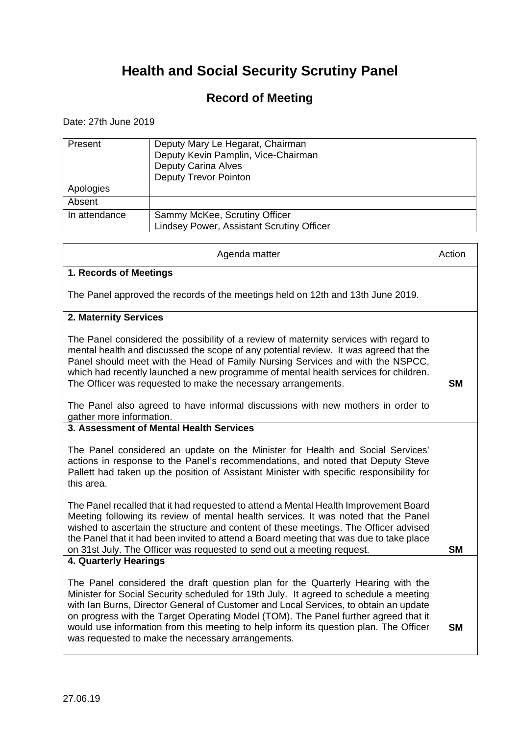### **Record of Meeting**

Date: 27th June 2019

| Present       | Deputy Mary Le Hegarat, Chairman<br>Deputy Kevin Pamplin, Vice-Chairman<br><b>Deputy Carina Alves</b><br><b>Deputy Trevor Pointon</b> |
|---------------|---------------------------------------------------------------------------------------------------------------------------------------|
| Apologies     |                                                                                                                                       |
| Absent        |                                                                                                                                       |
| In attendance | Sammy McKee, Scrutiny Officer<br><b>Lindsey Power, Assistant Scrutiny Officer</b>                                                     |

| Agenda matter                                                                                                                                                                                                                                                                                                                                                                                                                                                                                         | Action    |
|-------------------------------------------------------------------------------------------------------------------------------------------------------------------------------------------------------------------------------------------------------------------------------------------------------------------------------------------------------------------------------------------------------------------------------------------------------------------------------------------------------|-----------|
| 1. Records of Meetings                                                                                                                                                                                                                                                                                                                                                                                                                                                                                |           |
| The Panel approved the records of the meetings held on 12th and 13th June 2019.                                                                                                                                                                                                                                                                                                                                                                                                                       |           |
| 2. Maternity Services                                                                                                                                                                                                                                                                                                                                                                                                                                                                                 |           |
| The Panel considered the possibility of a review of maternity services with regard to<br>mental health and discussed the scope of any potential review. It was agreed that the<br>Panel should meet with the Head of Family Nursing Services and with the NSPCC,<br>which had recently launched a new programme of mental health services for children.<br>The Officer was requested to make the necessary arrangements.                                                                              | <b>SM</b> |
| The Panel also agreed to have informal discussions with new mothers in order to<br>gather more information.                                                                                                                                                                                                                                                                                                                                                                                           |           |
| 3. Assessment of Mental Health Services                                                                                                                                                                                                                                                                                                                                                                                                                                                               |           |
| The Panel considered an update on the Minister for Health and Social Services'<br>actions in response to the Panel's recommendations, and noted that Deputy Steve<br>Pallett had taken up the position of Assistant Minister with specific responsibility for<br>this area.                                                                                                                                                                                                                           |           |
| The Panel recalled that it had requested to attend a Mental Health Improvement Board<br>Meeting following its review of mental health services. It was noted that the Panel<br>wished to ascertain the structure and content of these meetings. The Officer advised<br>the Panel that it had been invited to attend a Board meeting that was due to take place<br>on 31st July. The Officer was requested to send out a meeting request.                                                              | <b>SM</b> |
| 4. Quarterly Hearings                                                                                                                                                                                                                                                                                                                                                                                                                                                                                 |           |
| The Panel considered the draft question plan for the Quarterly Hearing with the<br>Minister for Social Security scheduled for 19th July. It agreed to schedule a meeting<br>with Ian Burns, Director General of Customer and Local Services, to obtain an update<br>on progress with the Target Operating Model (TOM). The Panel further agreed that it<br>would use information from this meeting to help inform its question plan. The Officer<br>was requested to make the necessary arrangements. | <b>SM</b> |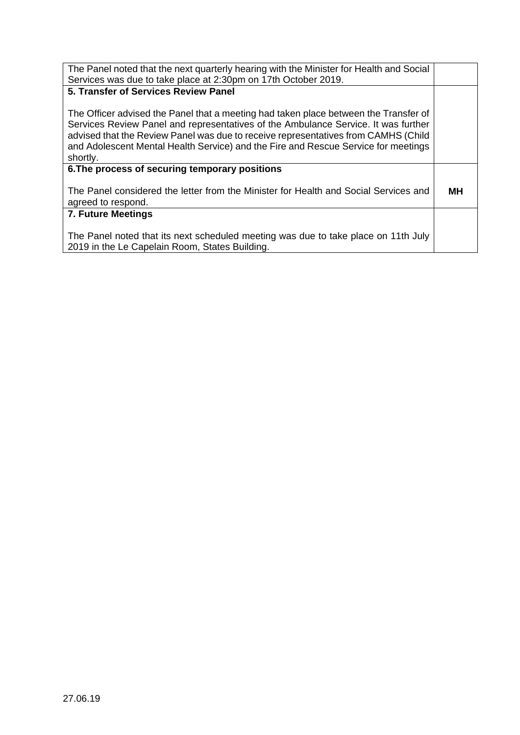| The Panel noted that the next quarterly hearing with the Minister for Health and Social<br>Services was due to take place at 2:30pm on 17th October 2019. |    |
|-----------------------------------------------------------------------------------------------------------------------------------------------------------|----|
|                                                                                                                                                           |    |
| 5. Transfer of Services Review Panel                                                                                                                      |    |
|                                                                                                                                                           |    |
|                                                                                                                                                           |    |
|                                                                                                                                                           |    |
| The Officer advised the Panel that a meeting had taken place between the Transfer of                                                                      |    |
| Services Review Panel and representatives of the Ambulance Service. It was further                                                                        |    |
|                                                                                                                                                           |    |
| advised that the Review Panel was due to receive representatives from CAMHS (Child                                                                        |    |
| and Adolescent Mental Health Service) and the Fire and Rescue Service for meetings                                                                        |    |
|                                                                                                                                                           |    |
| shortly.                                                                                                                                                  |    |
| 6. The process of securing temporary positions                                                                                                            |    |
|                                                                                                                                                           |    |
|                                                                                                                                                           |    |
|                                                                                                                                                           |    |
| The Panel considered the letter from the Minister for Health and Social Services and                                                                      | мн |
| agreed to respond.                                                                                                                                        |    |
|                                                                                                                                                           |    |
| <b>7. Future Meetings</b>                                                                                                                                 |    |
|                                                                                                                                                           |    |
|                                                                                                                                                           |    |
| The Panel noted that its next scheduled meeting was due to take place on 11th July                                                                        |    |
|                                                                                                                                                           |    |
| 2019 in the Le Capelain Room, States Building.                                                                                                            |    |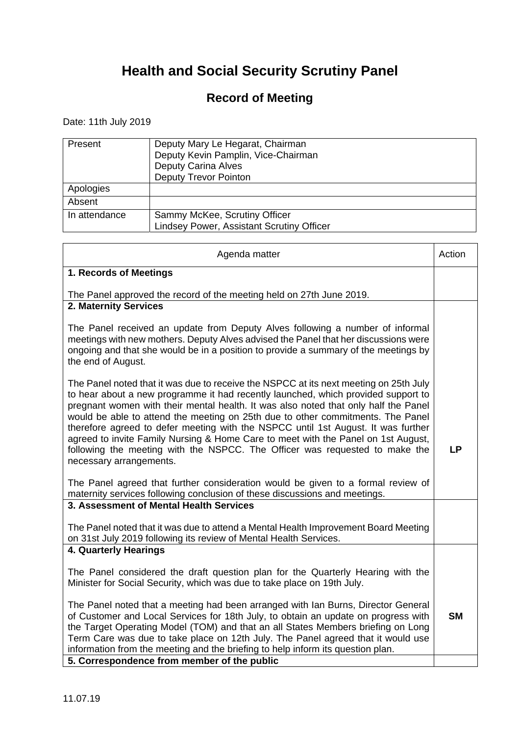### **Record of Meeting**

Date: 11th July 2019

| Present       | Deputy Mary Le Hegarat, Chairman<br>Deputy Kevin Pamplin, Vice-Chairman<br><b>Deputy Carina Alves</b><br><b>Deputy Trevor Pointon</b> |
|---------------|---------------------------------------------------------------------------------------------------------------------------------------|
| Apologies     |                                                                                                                                       |
| Absent        |                                                                                                                                       |
| In attendance | Sammy McKee, Scrutiny Officer<br><b>Lindsey Power, Assistant Scrutiny Officer</b>                                                     |

| Action    |
|-----------|
|           |
|           |
|           |
|           |
| <b>LP</b> |
|           |
|           |
|           |
|           |
|           |
| <b>SM</b> |
|           |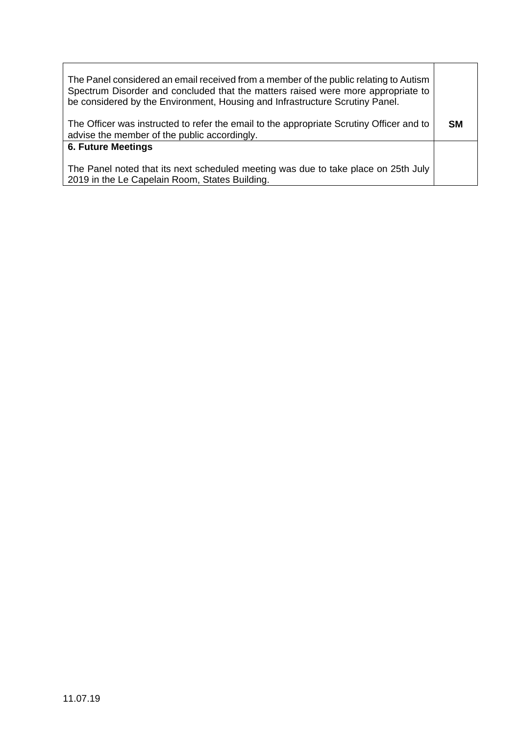| The Panel considered an email received from a member of the public relating to Autism<br>Spectrum Disorder and concluded that the matters raised were more appropriate to<br>be considered by the Environment, Housing and Infrastructure Scrutiny Panel. |           |
|-----------------------------------------------------------------------------------------------------------------------------------------------------------------------------------------------------------------------------------------------------------|-----------|
| The Officer was instructed to refer the email to the appropriate Scrutiny Officer and to<br>advise the member of the public accordingly.                                                                                                                  | <b>SM</b> |
| <b>6. Future Meetings</b>                                                                                                                                                                                                                                 |           |
| The Panel noted that its next scheduled meeting was due to take place on 25th July<br>2019 in the Le Capelain Room, States Building.                                                                                                                      |           |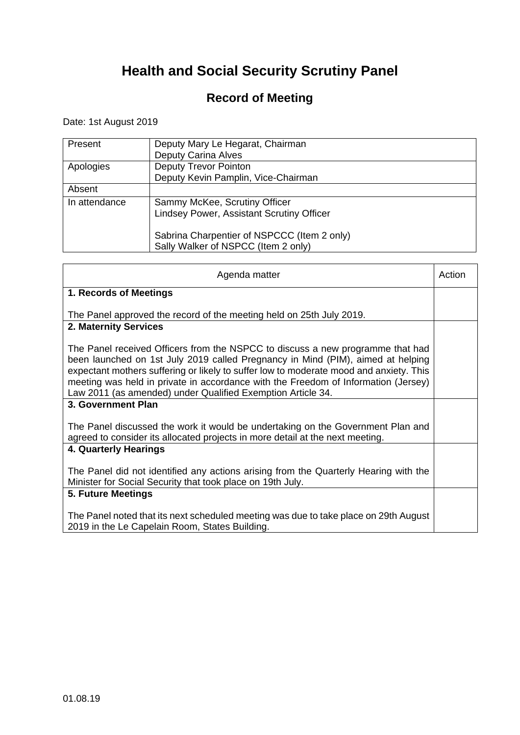### **Record of Meeting**

Date: 1st August 2019

| Present       | Deputy Mary Le Hegarat, Chairman<br><b>Deputy Carina Alves</b>                     |
|---------------|------------------------------------------------------------------------------------|
| Apologies     | <b>Deputy Trevor Pointon</b><br>Deputy Kevin Pamplin, Vice-Chairman                |
| Absent        |                                                                                    |
| In attendance | Sammy McKee, Scrutiny Officer<br><b>Lindsey Power, Assistant Scrutiny Officer</b>  |
|               | Sabrina Charpentier of NSPCCC (Item 2 only)<br>Sally Walker of NSPCC (Item 2 only) |

| Agenda matter                                                                                                                                                                                                                                                                                                                                                                                                    | Action |
|------------------------------------------------------------------------------------------------------------------------------------------------------------------------------------------------------------------------------------------------------------------------------------------------------------------------------------------------------------------------------------------------------------------|--------|
| 1. Records of Meetings                                                                                                                                                                                                                                                                                                                                                                                           |        |
| The Panel approved the record of the meeting held on 25th July 2019.                                                                                                                                                                                                                                                                                                                                             |        |
| 2. Maternity Services                                                                                                                                                                                                                                                                                                                                                                                            |        |
| The Panel received Officers from the NSPCC to discuss a new programme that had<br>been launched on 1st July 2019 called Pregnancy in Mind (PIM), aimed at helping<br>expectant mothers suffering or likely to suffer low to moderate mood and anxiety. This<br>meeting was held in private in accordance with the Freedom of Information (Jersey)<br>Law 2011 (as amended) under Qualified Exemption Article 34. |        |
| 3. Government Plan                                                                                                                                                                                                                                                                                                                                                                                               |        |
| The Panel discussed the work it would be undertaking on the Government Plan and<br>agreed to consider its allocated projects in more detail at the next meeting.                                                                                                                                                                                                                                                 |        |
| 4. Quarterly Hearings                                                                                                                                                                                                                                                                                                                                                                                            |        |
| The Panel did not identified any actions arising from the Quarterly Hearing with the<br>Minister for Social Security that took place on 19th July.                                                                                                                                                                                                                                                               |        |
| 5. Future Meetings                                                                                                                                                                                                                                                                                                                                                                                               |        |
| The Panel noted that its next scheduled meeting was due to take place on 29th August<br>2019 in the Le Capelain Room, States Building.                                                                                                                                                                                                                                                                           |        |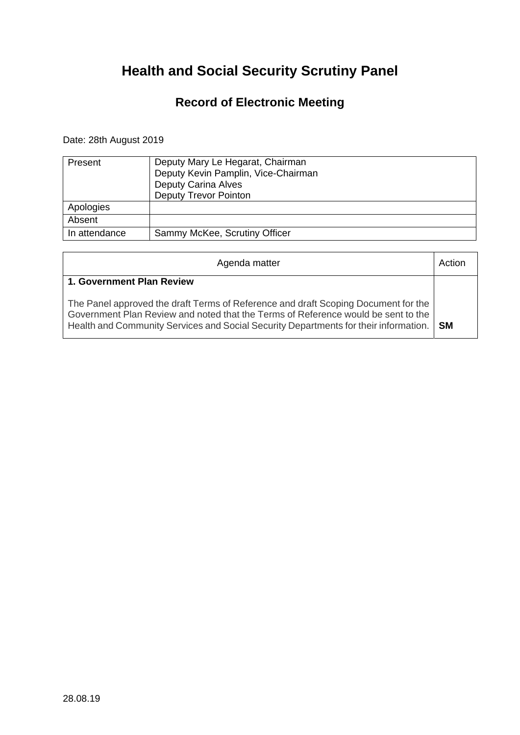### **Record of Electronic Meeting**

#### Date: 28th August 2019

| Present       | Deputy Mary Le Hegarat, Chairman<br>Deputy Kevin Pamplin, Vice-Chairman<br><b>Deputy Carina Alves</b><br><b>Deputy Trevor Pointon</b> |
|---------------|---------------------------------------------------------------------------------------------------------------------------------------|
| Apologies     |                                                                                                                                       |
| Absent        |                                                                                                                                       |
| In attendance | Sammy McKee, Scrutiny Officer                                                                                                         |

| Agenda matter                                                                                                                                                                                                                                                        | Action |
|----------------------------------------------------------------------------------------------------------------------------------------------------------------------------------------------------------------------------------------------------------------------|--------|
| 1. Government Plan Review                                                                                                                                                                                                                                            |        |
| The Panel approved the draft Terms of Reference and draft Scoping Document for the<br>Government Plan Review and noted that the Terms of Reference would be sent to the<br>Health and Community Services and Social Security Departments for their information.   SM |        |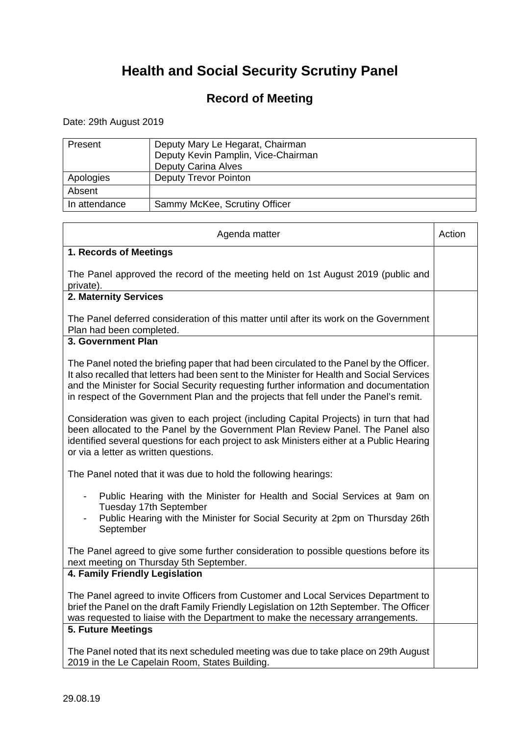### **Record of Meeting**

Date: 29th August 2019

| Present       | Deputy Mary Le Hegarat, Chairman<br>Deputy Kevin Pamplin, Vice-Chairman<br><b>Deputy Carina Alves</b> |
|---------------|-------------------------------------------------------------------------------------------------------|
| Apologies     | <b>Deputy Trevor Pointon</b>                                                                          |
| Absent        |                                                                                                       |
| In attendance | Sammy McKee, Scrutiny Officer                                                                         |

| Agenda matter                                                                                                                                                                                                                                                                                                                                                            | Action |
|--------------------------------------------------------------------------------------------------------------------------------------------------------------------------------------------------------------------------------------------------------------------------------------------------------------------------------------------------------------------------|--------|
| 1. Records of Meetings                                                                                                                                                                                                                                                                                                                                                   |        |
| The Panel approved the record of the meeting held on 1st August 2019 (public and<br>private).                                                                                                                                                                                                                                                                            |        |
| 2. Maternity Services                                                                                                                                                                                                                                                                                                                                                    |        |
| The Panel deferred consideration of this matter until after its work on the Government<br>Plan had been completed.                                                                                                                                                                                                                                                       |        |
| 3. Government Plan                                                                                                                                                                                                                                                                                                                                                       |        |
| The Panel noted the briefing paper that had been circulated to the Panel by the Officer.<br>It also recalled that letters had been sent to the Minister for Health and Social Services<br>and the Minister for Social Security requesting further information and documentation<br>in respect of the Government Plan and the projects that fell under the Panel's remit. |        |
| Consideration was given to each project (including Capital Projects) in turn that had<br>been allocated to the Panel by the Government Plan Review Panel. The Panel also<br>identified several questions for each project to ask Ministers either at a Public Hearing<br>or via a letter as written questions.                                                           |        |
| The Panel noted that it was due to hold the following hearings:                                                                                                                                                                                                                                                                                                          |        |
| Public Hearing with the Minister for Health and Social Services at 9am on<br>Tuesday 17th September<br>Public Hearing with the Minister for Social Security at 2pm on Thursday 26th<br>September                                                                                                                                                                         |        |
| The Panel agreed to give some further consideration to possible questions before its<br>next meeting on Thursday 5th September.                                                                                                                                                                                                                                          |        |
| 4. Family Friendly Legislation                                                                                                                                                                                                                                                                                                                                           |        |
| The Panel agreed to invite Officers from Customer and Local Services Department to<br>brief the Panel on the draft Family Friendly Legislation on 12th September. The Officer<br>was requested to liaise with the Department to make the necessary arrangements.                                                                                                         |        |
| 5. Future Meetings                                                                                                                                                                                                                                                                                                                                                       |        |
| The Panel noted that its next scheduled meeting was due to take place on 29th August<br>2019 in the Le Capelain Room, States Building.                                                                                                                                                                                                                                   |        |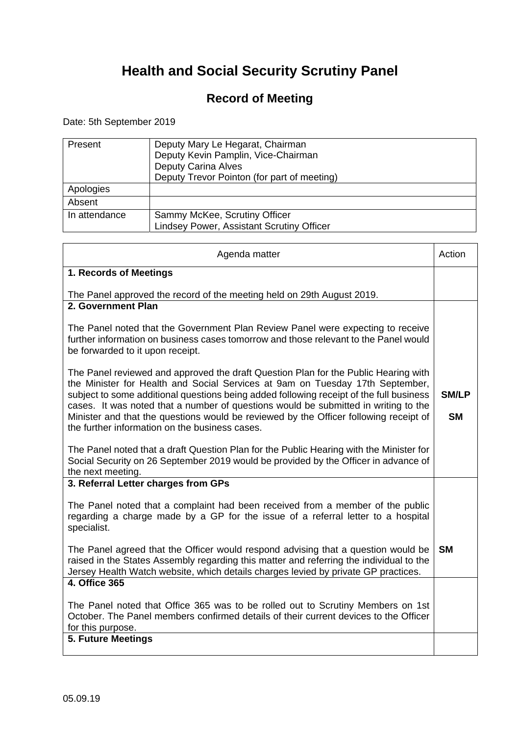### **Record of Meeting**

Date: 5th September 2019

| Present       | Deputy Mary Le Hegarat, Chairman<br>Deputy Kevin Pamplin, Vice-Chairman<br><b>Deputy Carina Alves</b><br>Deputy Trevor Pointon (for part of meeting) |
|---------------|------------------------------------------------------------------------------------------------------------------------------------------------------|
| Apologies     |                                                                                                                                                      |
| Absent        |                                                                                                                                                      |
| In attendance | Sammy McKee, Scrutiny Officer<br><b>Lindsey Power, Assistant Scrutiny Officer</b>                                                                    |

| Agenda matter                                                                                                                                                                                                                                                      | Action       |
|--------------------------------------------------------------------------------------------------------------------------------------------------------------------------------------------------------------------------------------------------------------------|--------------|
| 1. Records of Meetings                                                                                                                                                                                                                                             |              |
| The Panel approved the record of the meeting held on 29th August 2019.<br>2. Government Plan                                                                                                                                                                       |              |
|                                                                                                                                                                                                                                                                    |              |
| The Panel noted that the Government Plan Review Panel were expecting to receive<br>further information on business cases tomorrow and those relevant to the Panel would<br>be forwarded to it upon receipt.                                                        |              |
| The Panel reviewed and approved the draft Question Plan for the Public Hearing with<br>the Minister for Health and Social Services at 9am on Tuesday 17th September,<br>subject to some additional questions being added following receipt of the full business    | <b>SM/LP</b> |
| cases. It was noted that a number of questions would be submitted in writing to the<br>Minister and that the questions would be reviewed by the Officer following receipt of<br>the further information on the business cases.                                     | <b>SM</b>    |
| The Panel noted that a draft Question Plan for the Public Hearing with the Minister for<br>Social Security on 26 September 2019 would be provided by the Officer in advance of<br>the next meeting.                                                                |              |
| 3. Referral Letter charges from GPs                                                                                                                                                                                                                                |              |
| The Panel noted that a complaint had been received from a member of the public<br>regarding a charge made by a GP for the issue of a referral letter to a hospital<br>specialist.                                                                                  |              |
| The Panel agreed that the Officer would respond advising that a question would be<br>raised in the States Assembly regarding this matter and referring the individual to the<br>Jersey Health Watch website, which details charges levied by private GP practices. | SМ           |
| 4. Office 365                                                                                                                                                                                                                                                      |              |
| The Panel noted that Office 365 was to be rolled out to Scrutiny Members on 1st<br>October. The Panel members confirmed details of their current devices to the Officer<br>for this purpose.                                                                       |              |
| <b>5. Future Meetings</b>                                                                                                                                                                                                                                          |              |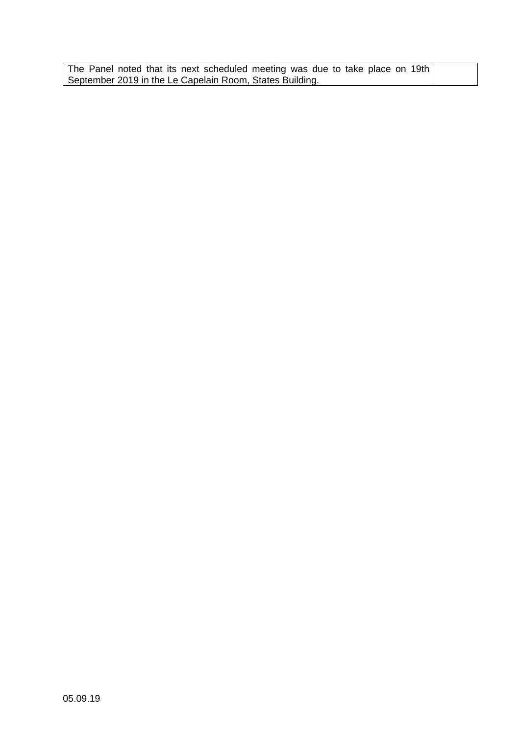| The Panel noted that its next scheduled meeting was due to take place on 19th |  |
|-------------------------------------------------------------------------------|--|
| September 2019 in the Le Capelain Room, States Building.                      |  |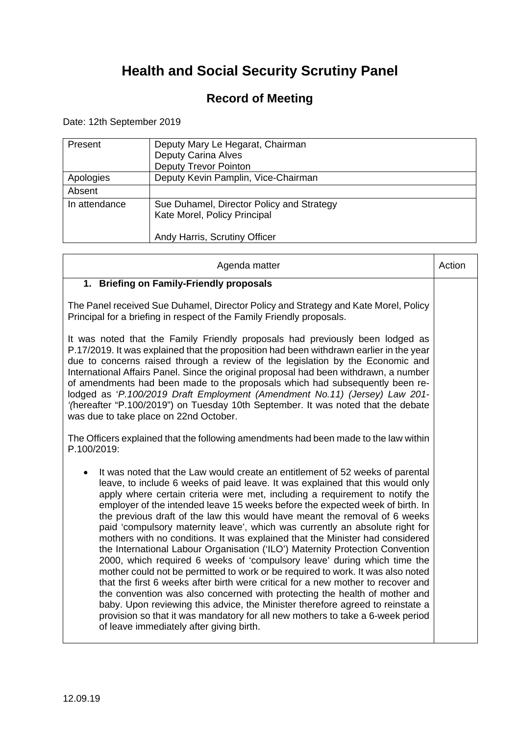### **Record of Meeting**

Date: 12th September 2019

 $\mathbf{r}$ 

| Present       | Deputy Mary Le Hegarat, Chairman<br>Deputy Carina Alves<br><b>Deputy Trevor Pointon</b>                    |
|---------------|------------------------------------------------------------------------------------------------------------|
| Apologies     | Deputy Kevin Pamplin, Vice-Chairman                                                                        |
| Absent        |                                                                                                            |
| In attendance | Sue Duhamel, Director Policy and Strategy<br>Kate Morel, Policy Principal<br>Andy Harris, Scrutiny Officer |

 $\overline{\phantom{0}}$ 

 $\mathbf{T}$ 

| Agenda matter                                                                                                                                                                                                                                                                                                                                                                                                                                                                                                                                                                                                                                                                                                                                                                                                                                                                                                                                                                                                                                                                                                                                                                                                     | Action |
|-------------------------------------------------------------------------------------------------------------------------------------------------------------------------------------------------------------------------------------------------------------------------------------------------------------------------------------------------------------------------------------------------------------------------------------------------------------------------------------------------------------------------------------------------------------------------------------------------------------------------------------------------------------------------------------------------------------------------------------------------------------------------------------------------------------------------------------------------------------------------------------------------------------------------------------------------------------------------------------------------------------------------------------------------------------------------------------------------------------------------------------------------------------------------------------------------------------------|--------|
| 1. Briefing on Family-Friendly proposals                                                                                                                                                                                                                                                                                                                                                                                                                                                                                                                                                                                                                                                                                                                                                                                                                                                                                                                                                                                                                                                                                                                                                                          |        |
| The Panel received Sue Duhamel, Director Policy and Strategy and Kate Morel, Policy<br>Principal for a briefing in respect of the Family Friendly proposals.                                                                                                                                                                                                                                                                                                                                                                                                                                                                                                                                                                                                                                                                                                                                                                                                                                                                                                                                                                                                                                                      |        |
| It was noted that the Family Friendly proposals had previously been lodged as<br>P.17/2019. It was explained that the proposition had been withdrawn earlier in the year<br>due to concerns raised through a review of the legislation by the Economic and<br>International Affairs Panel. Since the original proposal had been withdrawn, a number<br>of amendments had been made to the proposals which had subsequently been re-<br>lodged as 'P.100/2019 Draft Employment (Amendment No.11) (Jersey) Law 201-<br>'(hereafter "P.100/2019") on Tuesday 10th September. It was noted that the debate<br>was due to take place on 22nd October.                                                                                                                                                                                                                                                                                                                                                                                                                                                                                                                                                                  |        |
| The Officers explained that the following amendments had been made to the law within<br>P.100/2019:                                                                                                                                                                                                                                                                                                                                                                                                                                                                                                                                                                                                                                                                                                                                                                                                                                                                                                                                                                                                                                                                                                               |        |
| It was noted that the Law would create an entitlement of 52 weeks of parental<br>leave, to include 6 weeks of paid leave. It was explained that this would only<br>apply where certain criteria were met, including a requirement to notify the<br>employer of the intended leave 15 weeks before the expected week of birth. In<br>the previous draft of the law this would have meant the removal of 6 weeks<br>paid 'compulsory maternity leave', which was currently an absolute right for<br>mothers with no conditions. It was explained that the Minister had considered<br>the International Labour Organisation ('ILO') Maternity Protection Convention<br>2000, which required 6 weeks of 'compulsory leave' during which time the<br>mother could not be permitted to work or be required to work. It was also noted<br>that the first 6 weeks after birth were critical for a new mother to recover and<br>the convention was also concerned with protecting the health of mother and<br>baby. Upon reviewing this advice, the Minister therefore agreed to reinstate a<br>provision so that it was mandatory for all new mothers to take a 6-week period<br>of leave immediately after giving birth. |        |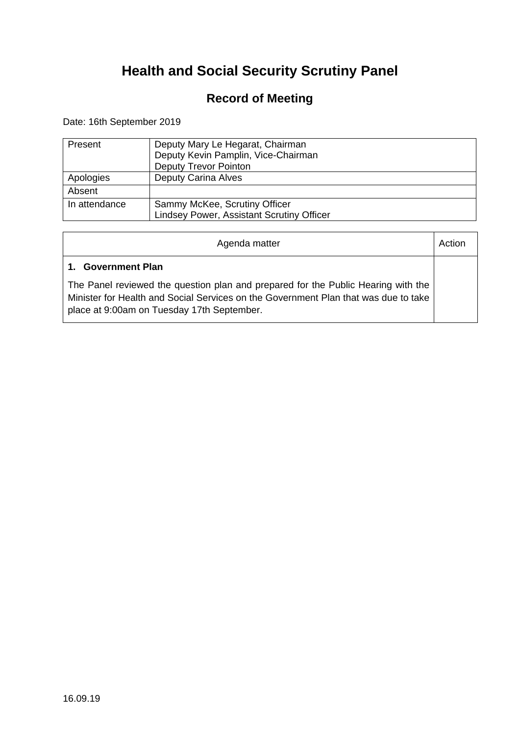### **Record of Meeting**

Date: 16th September 2019

| Present       | Deputy Mary Le Hegarat, Chairman<br>Deputy Kevin Pamplin, Vice-Chairman<br><b>Deputy Trevor Pointon</b> |
|---------------|---------------------------------------------------------------------------------------------------------|
| Apologies     | <b>Deputy Carina Alves</b>                                                                              |
| Absent        |                                                                                                         |
| In attendance | Sammy McKee, Scrutiny Officer<br><b>Lindsey Power, Assistant Scrutiny Officer</b>                       |

| Agenda matter                                                                                                                                                                                                          | Action |
|------------------------------------------------------------------------------------------------------------------------------------------------------------------------------------------------------------------------|--------|
| <b>Government Plan</b><br>$1_{-}$                                                                                                                                                                                      |        |
| The Panel reviewed the question plan and prepared for the Public Hearing with the<br>Minister for Health and Social Services on the Government Plan that was due to take<br>place at 9:00am on Tuesday 17th September. |        |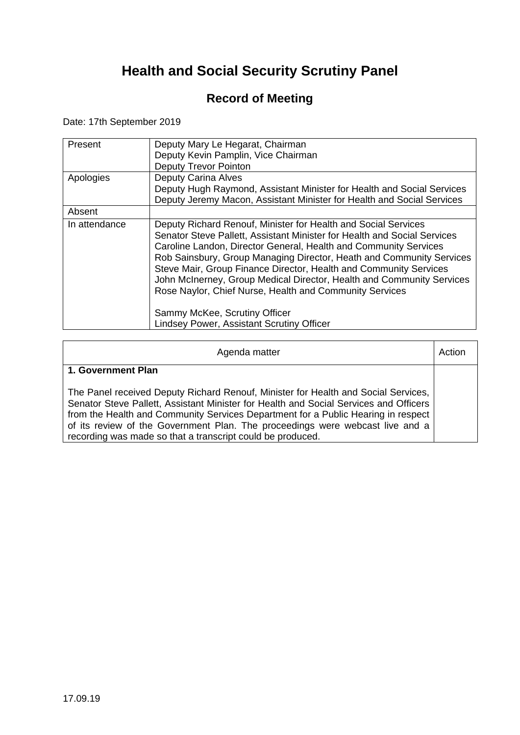### **Record of Meeting**

Date: 17th September 2019

| Present<br>Apologies | Deputy Mary Le Hegarat, Chairman<br>Deputy Kevin Pamplin, Vice Chairman<br>Deputy Trevor Pointon<br><b>Deputy Carina Alves</b>                                                                                                                                                                                                                                                                                                                                                                                                                                                       |
|----------------------|--------------------------------------------------------------------------------------------------------------------------------------------------------------------------------------------------------------------------------------------------------------------------------------------------------------------------------------------------------------------------------------------------------------------------------------------------------------------------------------------------------------------------------------------------------------------------------------|
|                      | Deputy Hugh Raymond, Assistant Minister for Health and Social Services<br>Deputy Jeremy Macon, Assistant Minister for Health and Social Services                                                                                                                                                                                                                                                                                                                                                                                                                                     |
| Absent               |                                                                                                                                                                                                                                                                                                                                                                                                                                                                                                                                                                                      |
| In attendance        | Deputy Richard Renouf, Minister for Health and Social Services<br>Senator Steve Pallett, Assistant Minister for Health and Social Services<br>Caroline Landon, Director General, Health and Community Services<br>Rob Sainsbury, Group Managing Director, Heath and Community Services<br>Steve Mair, Group Finance Director, Health and Community Services<br>John McInerney, Group Medical Director, Health and Community Services<br>Rose Naylor, Chief Nurse, Health and Community Services<br>Sammy McKee, Scrutiny Officer<br><b>Lindsey Power, Assistant Scrutiny Officer</b> |

| Agenda matter                                                                                                                                                                                                                                                                                                                                                                                                   | Action |
|-----------------------------------------------------------------------------------------------------------------------------------------------------------------------------------------------------------------------------------------------------------------------------------------------------------------------------------------------------------------------------------------------------------------|--------|
| 1. Government Plan                                                                                                                                                                                                                                                                                                                                                                                              |        |
| The Panel received Deputy Richard Renouf, Minister for Health and Social Services,<br>Senator Steve Pallett, Assistant Minister for Health and Social Services and Officers<br>from the Health and Community Services Department for a Public Hearing in respect<br>of its review of the Government Plan. The proceedings were webcast live and a<br>recording was made so that a transcript could be produced. |        |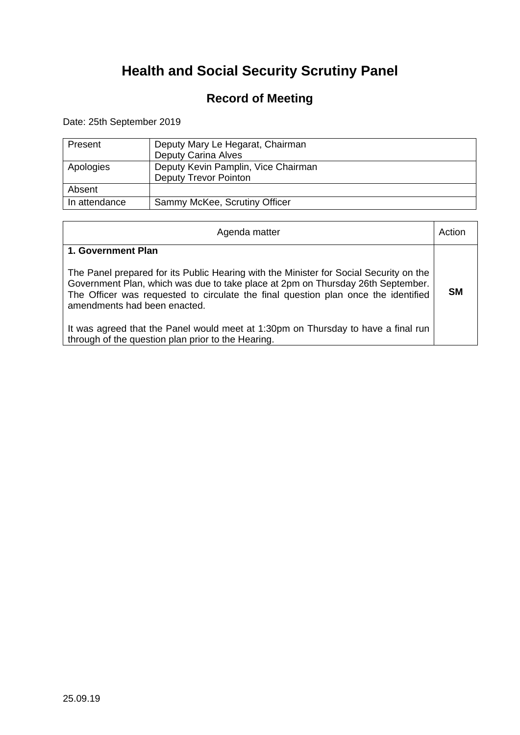### **Record of Meeting**

Date: 25th September 2019

| Present       | Deputy Mary Le Hegarat, Chairman<br><b>Deputy Carina Alves</b>      |
|---------------|---------------------------------------------------------------------|
| Apologies     | Deputy Kevin Pamplin, Vice Chairman<br><b>Deputy Trevor Pointon</b> |
| Absent        |                                                                     |
| In attendance | Sammy McKee, Scrutiny Officer                                       |

| Agenda matter                                                                                                                                                                                                                                                                                   | Action    |
|-------------------------------------------------------------------------------------------------------------------------------------------------------------------------------------------------------------------------------------------------------------------------------------------------|-----------|
| 1. Government Plan                                                                                                                                                                                                                                                                              |           |
| The Panel prepared for its Public Hearing with the Minister for Social Security on the<br>Government Plan, which was due to take place at 2pm on Thursday 26th September.<br>The Officer was requested to circulate the final question plan once the identified<br>amendments had been enacted. | <b>SM</b> |
| It was agreed that the Panel would meet at 1:30pm on Thursday to have a final run<br>through of the question plan prior to the Hearing.                                                                                                                                                         |           |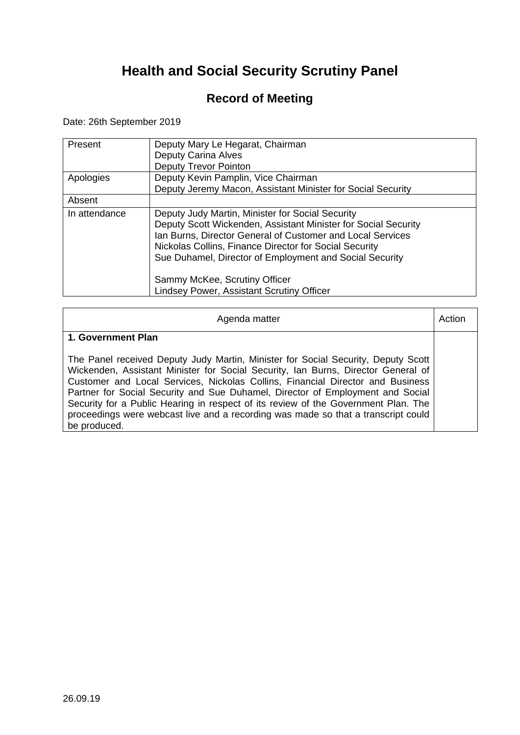### **Record of Meeting**

Date: 26th September 2019

| Present<br>Apologies | Deputy Mary Le Hegarat, Chairman<br><b>Deputy Carina Alves</b><br><b>Deputy Trevor Pointon</b><br>Deputy Kevin Pamplin, Vice Chairman                                                                                                                                                                 |
|----------------------|-------------------------------------------------------------------------------------------------------------------------------------------------------------------------------------------------------------------------------------------------------------------------------------------------------|
|                      | Deputy Jeremy Macon, Assistant Minister for Social Security                                                                                                                                                                                                                                           |
| Absent               |                                                                                                                                                                                                                                                                                                       |
| In attendance        | Deputy Judy Martin, Minister for Social Security<br>Deputy Scott Wickenden, Assistant Minister for Social Security<br>Ian Burns, Director General of Customer and Local Services<br>Nickolas Collins, Finance Director for Social Security<br>Sue Duhamel, Director of Employment and Social Security |
|                      | Sammy McKee, Scrutiny Officer<br>Lindsey Power, Assistant Scrutiny Officer                                                                                                                                                                                                                            |

| Agenda matter                                                                                                                                                                                                                                                                                                                                                                                                                                                                                                                         | Action |
|---------------------------------------------------------------------------------------------------------------------------------------------------------------------------------------------------------------------------------------------------------------------------------------------------------------------------------------------------------------------------------------------------------------------------------------------------------------------------------------------------------------------------------------|--------|
| 1. Government Plan                                                                                                                                                                                                                                                                                                                                                                                                                                                                                                                    |        |
| The Panel received Deputy Judy Martin, Minister for Social Security, Deputy Scott<br>Wickenden, Assistant Minister for Social Security, Ian Burns, Director General of<br>Customer and Local Services, Nickolas Collins, Financial Director and Business<br>Partner for Social Security and Sue Duhamel, Director of Employment and Social<br>Security for a Public Hearing in respect of its review of the Government Plan. The<br>proceedings were webcast live and a recording was made so that a transcript could<br>be produced. |        |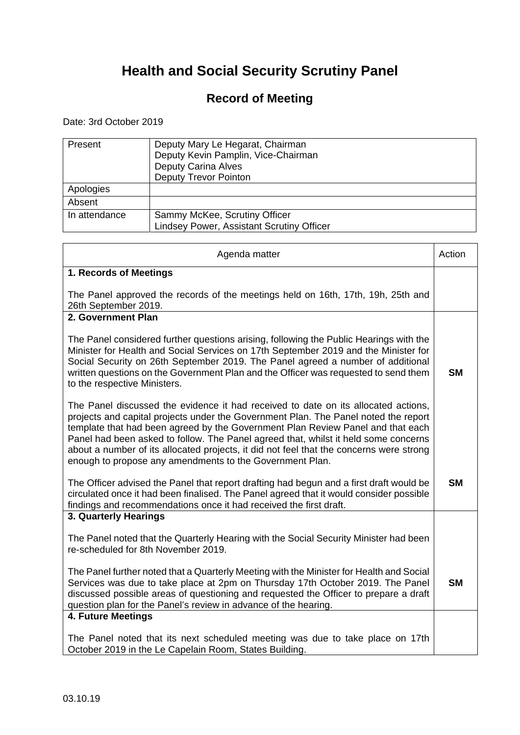### **Record of Meeting**

Date: 3rd October 2019

| Present       | Deputy Mary Le Hegarat, Chairman<br>Deputy Kevin Pamplin, Vice-Chairman<br><b>Deputy Carina Alves</b><br><b>Deputy Trevor Pointon</b> |
|---------------|---------------------------------------------------------------------------------------------------------------------------------------|
| Apologies     |                                                                                                                                       |
| Absent        |                                                                                                                                       |
| In attendance | Sammy McKee, Scrutiny Officer<br>Lindsey Power, Assistant Scrutiny Officer                                                            |

| Agenda matter                                                                                                                                                                                                                                                                                                                                                                                                                                                                                              | Action    |
|------------------------------------------------------------------------------------------------------------------------------------------------------------------------------------------------------------------------------------------------------------------------------------------------------------------------------------------------------------------------------------------------------------------------------------------------------------------------------------------------------------|-----------|
| 1. Records of Meetings                                                                                                                                                                                                                                                                                                                                                                                                                                                                                     |           |
| The Panel approved the records of the meetings held on 16th, 17th, 19h, 25th and<br>26th September 2019.                                                                                                                                                                                                                                                                                                                                                                                                   |           |
| 2. Government Plan                                                                                                                                                                                                                                                                                                                                                                                                                                                                                         |           |
| The Panel considered further questions arising, following the Public Hearings with the<br>Minister for Health and Social Services on 17th September 2019 and the Minister for<br>Social Security on 26th September 2019. The Panel agreed a number of additional<br>written questions on the Government Plan and the Officer was requested to send them<br>to the respective Ministers.                                                                                                                    | <b>SM</b> |
| The Panel discussed the evidence it had received to date on its allocated actions,<br>projects and capital projects under the Government Plan. The Panel noted the report<br>template that had been agreed by the Government Plan Review Panel and that each<br>Panel had been asked to follow. The Panel agreed that, whilst it held some concerns<br>about a number of its allocated projects, it did not feel that the concerns were strong<br>enough to propose any amendments to the Government Plan. |           |
| The Officer advised the Panel that report drafting had begun and a first draft would be<br>circulated once it had been finalised. The Panel agreed that it would consider possible<br>findings and recommendations once it had received the first draft.                                                                                                                                                                                                                                                   | <b>SM</b> |
| 3. Quarterly Hearings                                                                                                                                                                                                                                                                                                                                                                                                                                                                                      |           |
| The Panel noted that the Quarterly Hearing with the Social Security Minister had been<br>re-scheduled for 8th November 2019.                                                                                                                                                                                                                                                                                                                                                                               |           |
| The Panel further noted that a Quarterly Meeting with the Minister for Health and Social<br>Services was due to take place at 2pm on Thursday 17th October 2019. The Panel<br>discussed possible areas of questioning and requested the Officer to prepare a draft<br>question plan for the Panel's review in advance of the hearing.                                                                                                                                                                      | <b>SM</b> |
| 4. Future Meetings                                                                                                                                                                                                                                                                                                                                                                                                                                                                                         |           |
| The Panel noted that its next scheduled meeting was due to take place on 17th<br>October 2019 in the Le Capelain Room, States Building.                                                                                                                                                                                                                                                                                                                                                                    |           |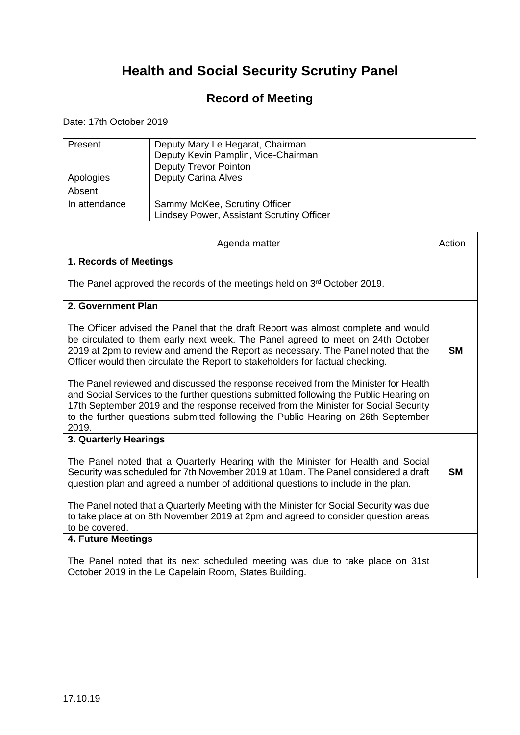### **Record of Meeting**

Date: 17th October 2019

| Present       | Deputy Mary Le Hegarat, Chairman<br>Deputy Kevin Pamplin, Vice-Chairman<br><b>Deputy Trevor Pointon</b> |
|---------------|---------------------------------------------------------------------------------------------------------|
| Apologies     | <b>Deputy Carina Alves</b>                                                                              |
| Absent        |                                                                                                         |
| In attendance | Sammy McKee, Scrutiny Officer<br><b>Lindsey Power, Assistant Scrutiny Officer</b>                       |

| Agenda matter                                                                                                                                                                                                                                                                                                                                                      | Action    |
|--------------------------------------------------------------------------------------------------------------------------------------------------------------------------------------------------------------------------------------------------------------------------------------------------------------------------------------------------------------------|-----------|
| 1. Records of Meetings                                                                                                                                                                                                                                                                                                                                             |           |
| The Panel approved the records of the meetings held on 3 <sup>rd</sup> October 2019.                                                                                                                                                                                                                                                                               |           |
| 2. Government Plan                                                                                                                                                                                                                                                                                                                                                 |           |
| The Officer advised the Panel that the draft Report was almost complete and would<br>be circulated to them early next week. The Panel agreed to meet on 24th October<br>2019 at 2pm to review and amend the Report as necessary. The Panel noted that the<br>Officer would then circulate the Report to stakeholders for factual checking.                         | <b>SM</b> |
| The Panel reviewed and discussed the response received from the Minister for Health<br>and Social Services to the further questions submitted following the Public Hearing on<br>17th September 2019 and the response received from the Minister for Social Security<br>to the further questions submitted following the Public Hearing on 26th September<br>2019. |           |
| 3. Quarterly Hearings                                                                                                                                                                                                                                                                                                                                              |           |
| The Panel noted that a Quarterly Hearing with the Minister for Health and Social<br>Security was scheduled for 7th November 2019 at 10am. The Panel considered a draft<br>question plan and agreed a number of additional questions to include in the plan.                                                                                                        | <b>SM</b> |
| The Panel noted that a Quarterly Meeting with the Minister for Social Security was due<br>to take place at on 8th November 2019 at 2pm and agreed to consider question areas<br>to be covered.                                                                                                                                                                     |           |
| 4. Future Meetings                                                                                                                                                                                                                                                                                                                                                 |           |
| The Panel noted that its next scheduled meeting was due to take place on 31st<br>October 2019 in the Le Capelain Room, States Building.                                                                                                                                                                                                                            |           |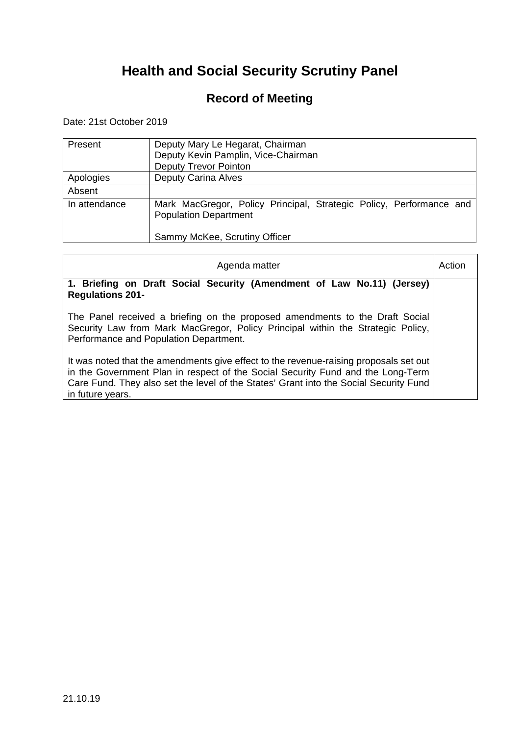### **Record of Meeting**

Date: 21st October 2019

| Present       | Deputy Mary Le Hegarat, Chairman<br>Deputy Kevin Pamplin, Vice-Chairman<br><b>Deputy Trevor Pointon</b>                              |
|---------------|--------------------------------------------------------------------------------------------------------------------------------------|
| Apologies     | <b>Deputy Carina Alves</b>                                                                                                           |
| Absent        |                                                                                                                                      |
| In attendance | Mark MacGregor, Policy Principal, Strategic Policy, Performance and<br><b>Population Department</b><br>Sammy McKee, Scrutiny Officer |

| Agenda matter                                                                                                                                                                                                                                                                         | Actior |
|---------------------------------------------------------------------------------------------------------------------------------------------------------------------------------------------------------------------------------------------------------------------------------------|--------|
| 1. Briefing on Draft Social Security (Amendment of Law No.11) (Jersey)<br><b>Regulations 201-</b>                                                                                                                                                                                     |        |
| The Panel received a briefing on the proposed amendments to the Draft Social<br>Security Law from Mark MacGregor, Policy Principal within the Strategic Policy,<br>Performance and Population Department.                                                                             |        |
| It was noted that the amendments give effect to the revenue-raising proposals set out<br>in the Government Plan in respect of the Social Security Fund and the Long-Term<br>Care Fund. They also set the level of the States' Grant into the Social Security Fund<br>in future years. |        |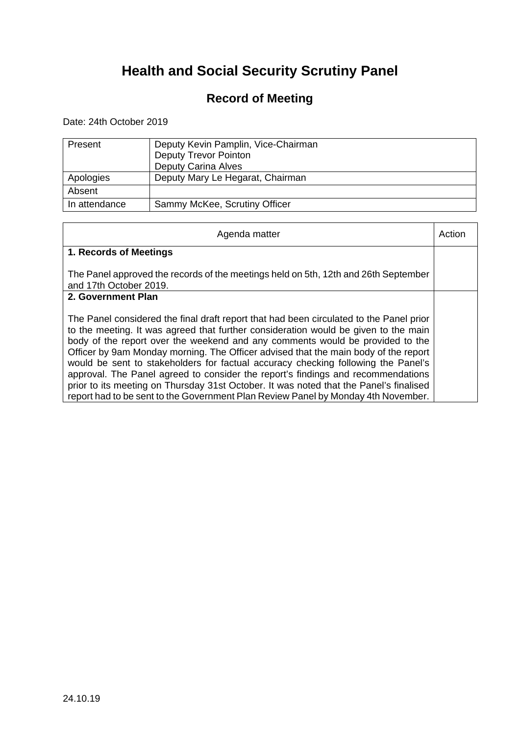### **Record of Meeting**

Date: 24th October 2019

| Present       | Deputy Kevin Pamplin, Vice-Chairman<br><b>Deputy Trevor Pointon</b> |
|---------------|---------------------------------------------------------------------|
|               | <b>Deputy Carina Alves</b>                                          |
| Apologies     | Deputy Mary Le Hegarat, Chairman                                    |
| Absent        |                                                                     |
| In attendance | Sammy McKee, Scrutiny Officer                                       |

| Agenda matter                                                                                                                                                                                                                                                                                                                                                                                                                                                                                                                                                                                                                                                                                                  | Action |
|----------------------------------------------------------------------------------------------------------------------------------------------------------------------------------------------------------------------------------------------------------------------------------------------------------------------------------------------------------------------------------------------------------------------------------------------------------------------------------------------------------------------------------------------------------------------------------------------------------------------------------------------------------------------------------------------------------------|--------|
| 1. Records of Meetings                                                                                                                                                                                                                                                                                                                                                                                                                                                                                                                                                                                                                                                                                         |        |
| The Panel approved the records of the meetings held on 5th, 12th and 26th September<br>and 17th October 2019.                                                                                                                                                                                                                                                                                                                                                                                                                                                                                                                                                                                                  |        |
| 2. Government Plan                                                                                                                                                                                                                                                                                                                                                                                                                                                                                                                                                                                                                                                                                             |        |
| The Panel considered the final draft report that had been circulated to the Panel prior<br>to the meeting. It was agreed that further consideration would be given to the main<br>body of the report over the weekend and any comments would be provided to the<br>Officer by 9am Monday morning. The Officer advised that the main body of the report<br>would be sent to stakeholders for factual accuracy checking following the Panel's<br>approval. The Panel agreed to consider the report's findings and recommendations<br>prior to its meeting on Thursday 31st October. It was noted that the Panel's finalised<br>report had to be sent to the Government Plan Review Panel by Monday 4th November. |        |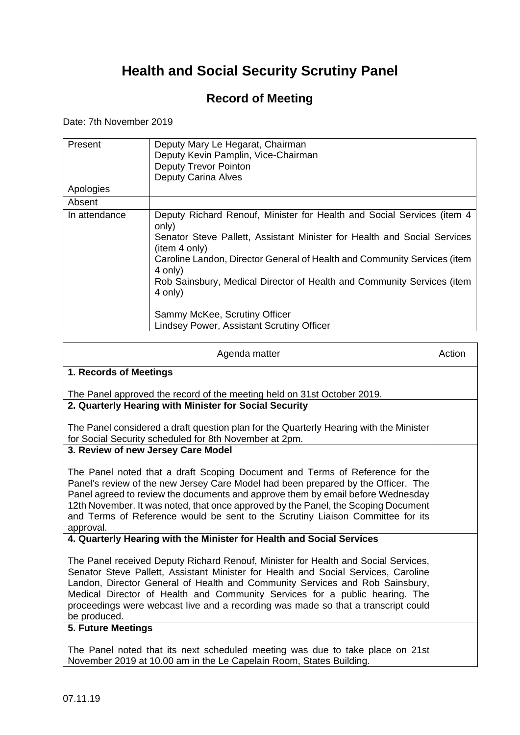### **Record of Meeting**

Date: 7th November 2019

| Present       | Deputy Mary Le Hegarat, Chairman<br>Deputy Kevin Pamplin, Vice-Chairman<br><b>Deputy Trevor Pointon</b><br><b>Deputy Carina Alves</b>                                                                                                                                                                                                                                                                                                  |
|---------------|----------------------------------------------------------------------------------------------------------------------------------------------------------------------------------------------------------------------------------------------------------------------------------------------------------------------------------------------------------------------------------------------------------------------------------------|
| Apologies     |                                                                                                                                                                                                                                                                                                                                                                                                                                        |
| Absent        |                                                                                                                                                                                                                                                                                                                                                                                                                                        |
| In attendance | Deputy Richard Renouf, Minister for Health and Social Services (item 4<br>only)<br>Senator Steve Pallett, Assistant Minister for Health and Social Services<br>(item 4 only)<br>Caroline Landon, Director General of Health and Community Services (item<br>4 only)<br>Rob Sainsbury, Medical Director of Health and Community Services (item<br>4 only)<br>Sammy McKee, Scrutiny Officer<br>Lindsey Power, Assistant Scrutiny Officer |

| Agenda matter                                                                                                                                                                                                                                                                                                                                                                                                                                | Action |
|----------------------------------------------------------------------------------------------------------------------------------------------------------------------------------------------------------------------------------------------------------------------------------------------------------------------------------------------------------------------------------------------------------------------------------------------|--------|
| 1. Records of Meetings                                                                                                                                                                                                                                                                                                                                                                                                                       |        |
| The Panel approved the record of the meeting held on 31st October 2019.                                                                                                                                                                                                                                                                                                                                                                      |        |
| 2. Quarterly Hearing with Minister for Social Security                                                                                                                                                                                                                                                                                                                                                                                       |        |
| The Panel considered a draft question plan for the Quarterly Hearing with the Minister<br>for Social Security scheduled for 8th November at 2pm.                                                                                                                                                                                                                                                                                             |        |
| 3. Review of new Jersey Care Model                                                                                                                                                                                                                                                                                                                                                                                                           |        |
| The Panel noted that a draft Scoping Document and Terms of Reference for the<br>Panel's review of the new Jersey Care Model had been prepared by the Officer. The<br>Panel agreed to review the documents and approve them by email before Wednesday<br>12th November. It was noted, that once approved by the Panel, the Scoping Document<br>and Terms of Reference would be sent to the Scrutiny Liaison Committee for its<br>approval.    |        |
| 4. Quarterly Hearing with the Minister for Health and Social Services                                                                                                                                                                                                                                                                                                                                                                        |        |
| The Panel received Deputy Richard Renouf, Minister for Health and Social Services,<br>Senator Steve Pallett, Assistant Minister for Health and Social Services, Caroline<br>Landon, Director General of Health and Community Services and Rob Sainsbury,<br>Medical Director of Health and Community Services for a public hearing. The<br>proceedings were webcast live and a recording was made so that a transcript could<br>be produced. |        |
| 5. Future Meetings                                                                                                                                                                                                                                                                                                                                                                                                                           |        |
| The Panel noted that its next scheduled meeting was due to take place on 21st<br>November 2019 at 10.00 am in the Le Capelain Room, States Building.                                                                                                                                                                                                                                                                                         |        |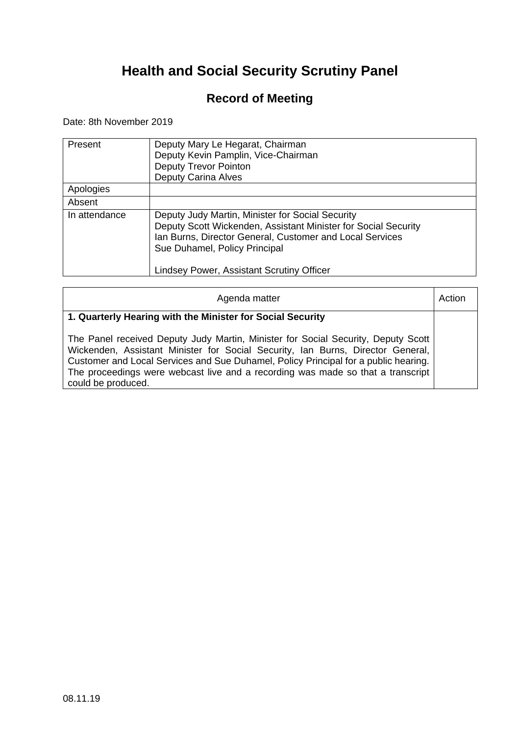### **Record of Meeting**

Date: 8th November 2019

| Present       | Deputy Mary Le Hegarat, Chairman<br>Deputy Kevin Pamplin, Vice-Chairman<br><b>Deputy Trevor Pointon</b><br><b>Deputy Carina Alves</b>                                                                                                                        |
|---------------|--------------------------------------------------------------------------------------------------------------------------------------------------------------------------------------------------------------------------------------------------------------|
| Apologies     |                                                                                                                                                                                                                                                              |
| Absent        |                                                                                                                                                                                                                                                              |
| In attendance | Deputy Judy Martin, Minister for Social Security<br>Deputy Scott Wickenden, Assistant Minister for Social Security<br>Ian Burns, Director General, Customer and Local Services<br>Sue Duhamel, Policy Principal<br>Lindsey Power, Assistant Scrutiny Officer |

| Agenda matter                                                                                                                                                                                                                                                                                                                                                        | Action |
|----------------------------------------------------------------------------------------------------------------------------------------------------------------------------------------------------------------------------------------------------------------------------------------------------------------------------------------------------------------------|--------|
| 1. Quarterly Hearing with the Minister for Social Security                                                                                                                                                                                                                                                                                                           |        |
| The Panel received Deputy Judy Martin, Minister for Social Security, Deputy Scott<br>Wickenden, Assistant Minister for Social Security, Ian Burns, Director General,<br>Customer and Local Services and Sue Duhamel, Policy Principal for a public hearing.<br>The proceedings were webcast live and a recording was made so that a transcript<br>could be produced. |        |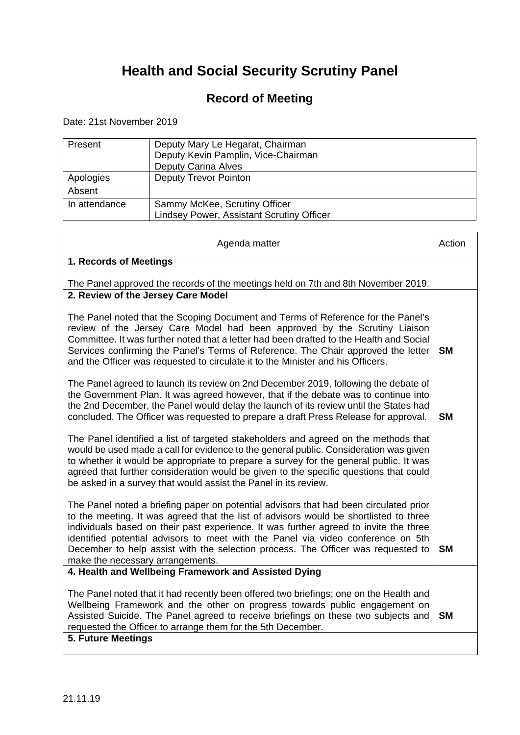### **Record of Meeting**

Date: 21st November 2019

| Present       | Deputy Mary Le Hegarat, Chairman<br>Deputy Kevin Pamplin, Vice-Chairman<br><b>Deputy Carina Alves</b> |
|---------------|-------------------------------------------------------------------------------------------------------|
| Apologies     | <b>Deputy Trevor Pointon</b>                                                                          |
| Absent        |                                                                                                       |
| In attendance | Sammy McKee, Scrutiny Officer<br><b>Lindsey Power, Assistant Scrutiny Officer</b>                     |

| Agenda matter                                                                                                                                                                                                                                                                                                                                                                                                                                                                       | Action    |
|-------------------------------------------------------------------------------------------------------------------------------------------------------------------------------------------------------------------------------------------------------------------------------------------------------------------------------------------------------------------------------------------------------------------------------------------------------------------------------------|-----------|
| 1. Records of Meetings                                                                                                                                                                                                                                                                                                                                                                                                                                                              |           |
| The Panel approved the records of the meetings held on 7th and 8th November 2019.                                                                                                                                                                                                                                                                                                                                                                                                   |           |
| 2. Review of the Jersey Care Model                                                                                                                                                                                                                                                                                                                                                                                                                                                  |           |
| The Panel noted that the Scoping Document and Terms of Reference for the Panel's<br>review of the Jersey Care Model had been approved by the Scrutiny Liaison<br>Committee. It was further noted that a letter had been drafted to the Health and Social<br>Services confirming the Panel's Terms of Reference. The Chair approved the letter<br>and the Officer was requested to circulate it to the Minister and his Officers.                                                    | <b>SM</b> |
| The Panel agreed to launch its review on 2nd December 2019, following the debate of<br>the Government Plan. It was agreed however, that if the debate was to continue into<br>the 2nd December, the Panel would delay the launch of its review until the States had<br>concluded. The Officer was requested to prepare a draft Press Release for approval.                                                                                                                          | <b>SM</b> |
| The Panel identified a list of targeted stakeholders and agreed on the methods that<br>would be used made a call for evidence to the general public. Consideration was given<br>to whether it would be appropriate to prepare a survey for the general public. It was<br>agreed that further consideration would be given to the specific questions that could<br>be asked in a survey that would assist the Panel in its review.                                                   |           |
| The Panel noted a briefing paper on potential advisors that had been circulated prior<br>to the meeting. It was agreed that the list of advisors would be shortlisted to three<br>individuals based on their past experience. It was further agreed to invite the three<br>identified potential advisors to meet with the Panel via video conference on 5th<br>December to help assist with the selection process. The Officer was requested to<br>make the necessary arrangements. | <b>SM</b> |
| 4. Health and Wellbeing Framework and Assisted Dying                                                                                                                                                                                                                                                                                                                                                                                                                                |           |
| The Panel noted that it had recently been offered two briefings; one on the Health and<br>Wellbeing Framework and the other on progress towards public engagement on<br>Assisted Suicide. The Panel agreed to receive briefings on these two subjects and<br>requested the Officer to arrange them for the 5th December.                                                                                                                                                            | <b>SM</b> |
| 5. Future Meetings                                                                                                                                                                                                                                                                                                                                                                                                                                                                  |           |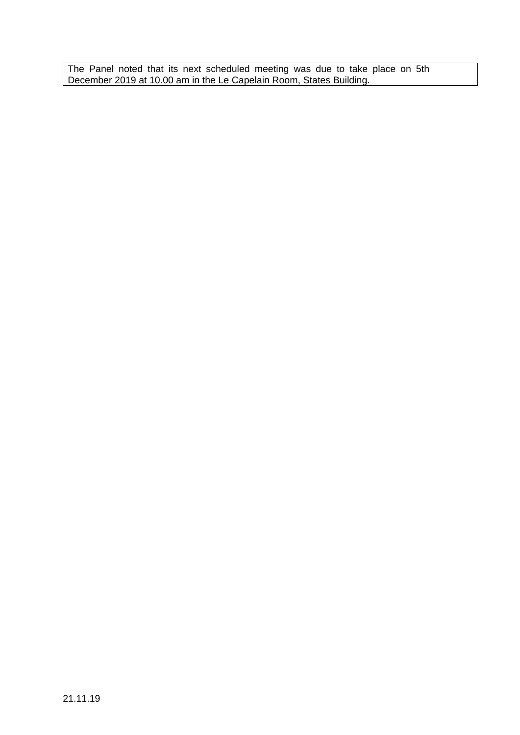| The Panel noted that its next scheduled meeting was due to take place on 5th |  |
|------------------------------------------------------------------------------|--|
| December 2019 at 10.00 am in the Le Capelain Room, States Building.          |  |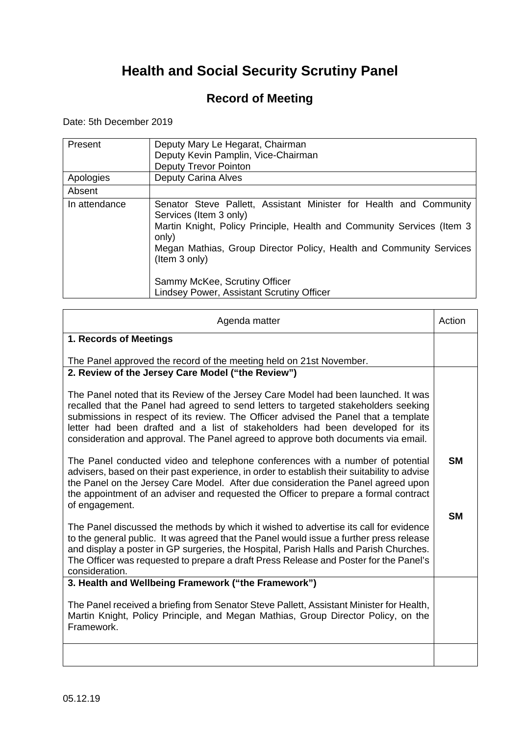### **Record of Meeting**

Date: 5th December 2019

| Present       | Deputy Mary Le Hegarat, Chairman<br>Deputy Kevin Pamplin, Vice-Chairman<br><b>Deputy Trevor Pointon</b>                                                                                                                                                                                                                                                       |
|---------------|---------------------------------------------------------------------------------------------------------------------------------------------------------------------------------------------------------------------------------------------------------------------------------------------------------------------------------------------------------------|
| Apologies     | Deputy Carina Alves                                                                                                                                                                                                                                                                                                                                           |
| Absent        |                                                                                                                                                                                                                                                                                                                                                               |
| In attendance | Senator Steve Pallett, Assistant Minister for Health and Community<br>Services (Item 3 only)<br>Martin Knight, Policy Principle, Health and Community Services (Item 3)<br>only)<br>Megan Mathias, Group Director Policy, Health and Community Services<br>(Item 3 only)<br>Sammy McKee, Scrutiny Officer<br><b>Lindsey Power, Assistant Scrutiny Officer</b> |

| Agenda matter                                                                                                                                                                                                                                                                                                                                                                                                                          | Action    |
|----------------------------------------------------------------------------------------------------------------------------------------------------------------------------------------------------------------------------------------------------------------------------------------------------------------------------------------------------------------------------------------------------------------------------------------|-----------|
| 1. Records of Meetings                                                                                                                                                                                                                                                                                                                                                                                                                 |           |
| The Panel approved the record of the meeting held on 21st November.                                                                                                                                                                                                                                                                                                                                                                    |           |
| 2. Review of the Jersey Care Model ("the Review")                                                                                                                                                                                                                                                                                                                                                                                      |           |
| The Panel noted that its Review of the Jersey Care Model had been launched. It was<br>recalled that the Panel had agreed to send letters to targeted stakeholders seeking<br>submissions in respect of its review. The Officer advised the Panel that a template<br>letter had been drafted and a list of stakeholders had been developed for its<br>consideration and approval. The Panel agreed to approve both documents via email. |           |
| The Panel conducted video and telephone conferences with a number of potential<br>advisers, based on their past experience, in order to establish their suitability to advise<br>the Panel on the Jersey Care Model. After due consideration the Panel agreed upon<br>the appointment of an adviser and requested the Officer to prepare a formal contract<br>of engagement.                                                           | <b>SM</b> |
| The Panel discussed the methods by which it wished to advertise its call for evidence<br>to the general public. It was agreed that the Panel would issue a further press release<br>and display a poster in GP surgeries, the Hospital, Parish Halls and Parish Churches.<br>The Officer was requested to prepare a draft Press Release and Poster for the Panel's<br>consideration.                                                   | <b>SM</b> |
| 3. Health and Wellbeing Framework ("the Framework")                                                                                                                                                                                                                                                                                                                                                                                    |           |
| The Panel received a briefing from Senator Steve Pallett, Assistant Minister for Health,<br>Martin Knight, Policy Principle, and Megan Mathias, Group Director Policy, on the<br>Framework.                                                                                                                                                                                                                                            |           |
|                                                                                                                                                                                                                                                                                                                                                                                                                                        |           |